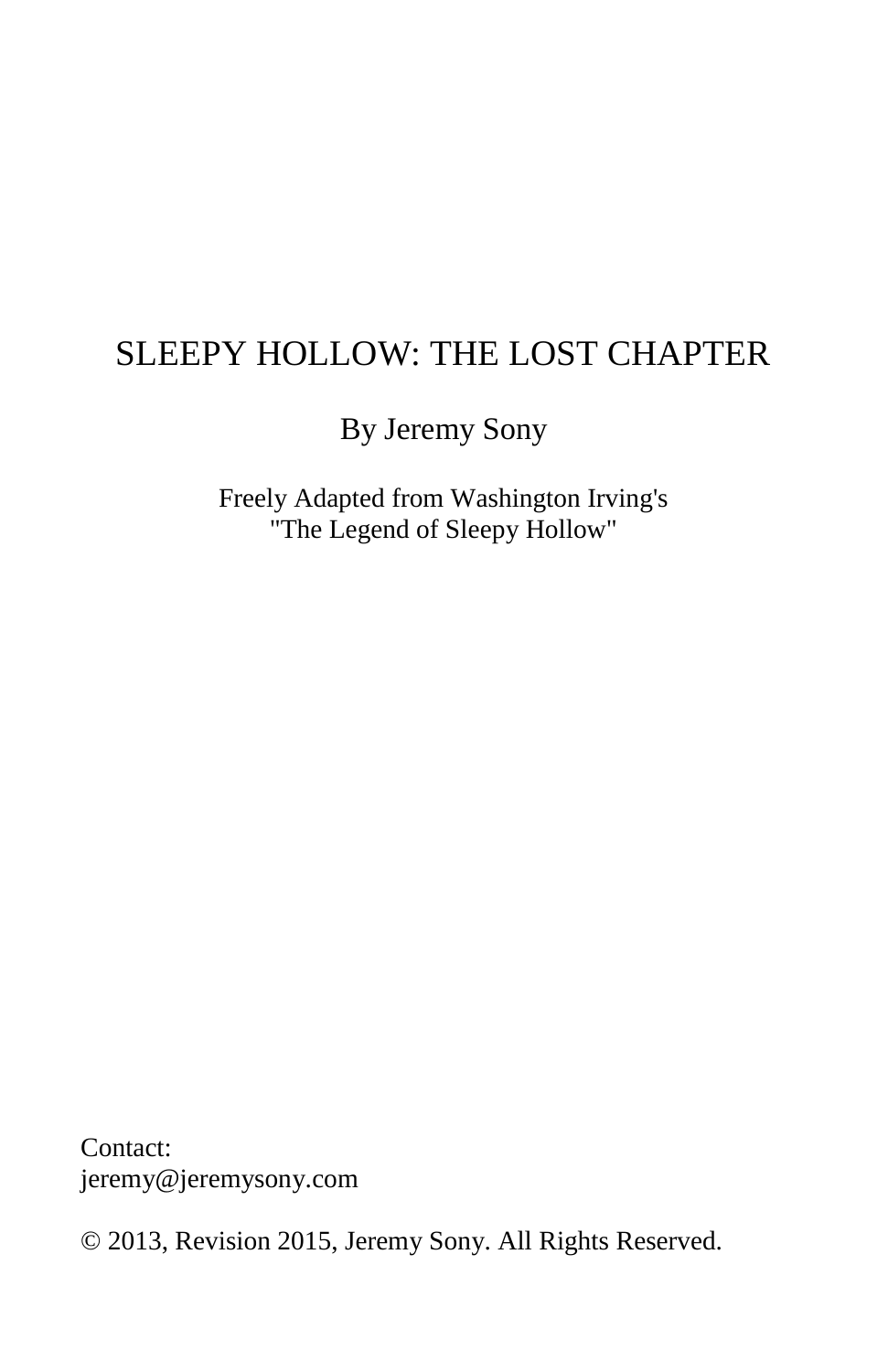# SLEEPY HOLLOW: THE LOST CHAPTER

By Jeremy Sony

Freely Adapted from Washington Irving's "The Legend of Sleepy Hollow"

Contact: jeremy@jeremysony.com

© 2013, Revision 2015, Jeremy Sony. All Rights Reserved.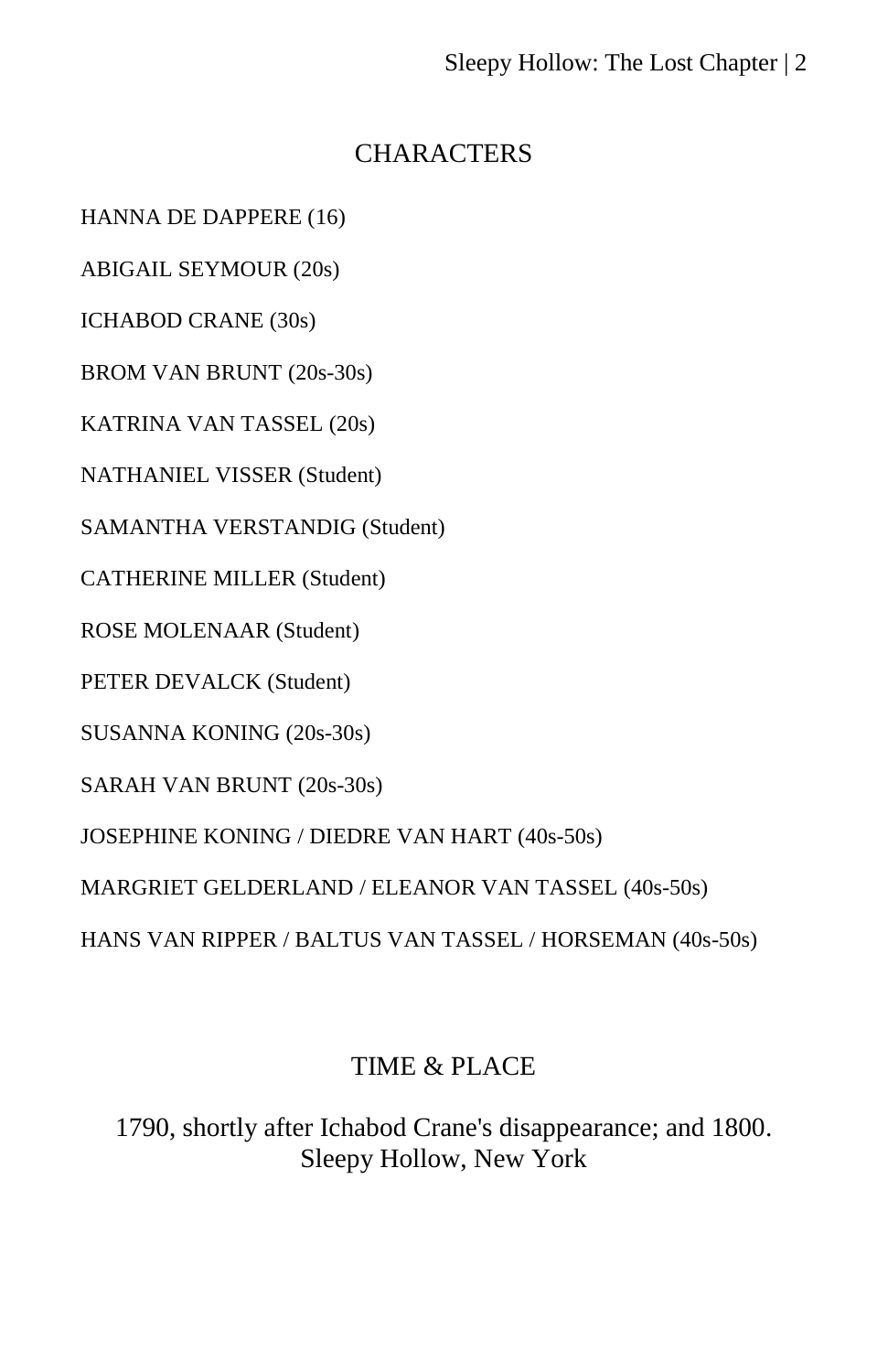# **CHARACTERS**

HANNA DE DAPPERE (16)

ABIGAIL SEYMOUR (20s)

ICHABOD CRANE (30s)

BROM VAN BRUNT (20s-30s)

KATRINA VAN TASSEL (20s)

NATHANIEL VISSER (Student)

SAMANTHA VERSTANDIG (Student)

CATHERINE MILLER (Student)

ROSE MOLENAAR (Student)

PETER DEVALCK (Student)

SUSANNA KONING (20s-30s)

SARAH VAN BRUNT (20s-30s)

JOSEPHINE KONING / DIEDRE VAN HART (40s-50s)

MARGRIET GELDERLAND / ELEANOR VAN TASSEL (40s-50s)

HANS VAN RIPPER / BALTUS VAN TASSEL / HORSEMAN (40s-50s)

# TIME & PLACE

1790, shortly after Ichabod Crane's disappearance; and 1800. Sleepy Hollow, New York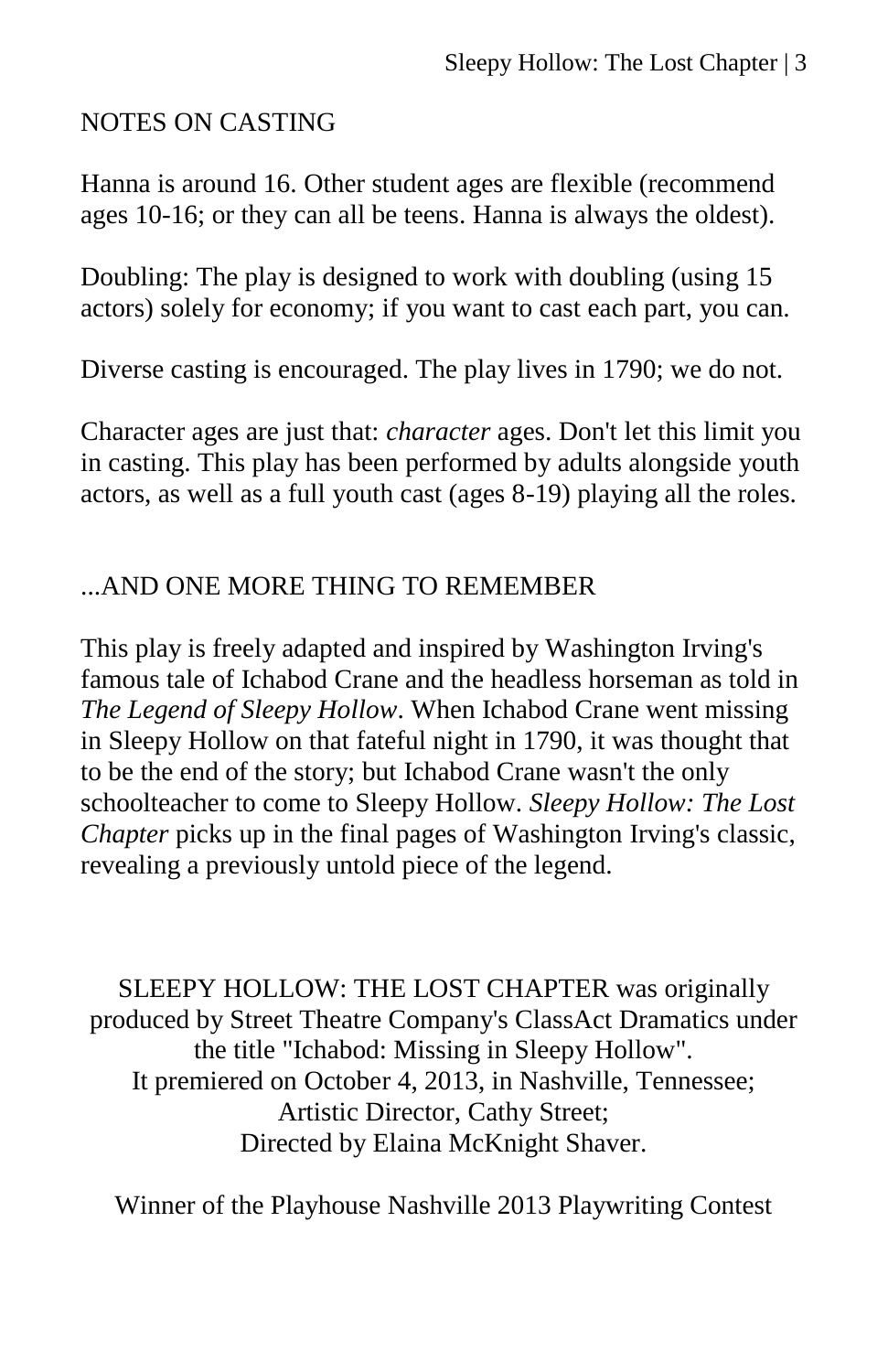# NOTES ON CASTING

Hanna is around 16. Other student ages are flexible (recommend ages 10-16; or they can all be teens. Hanna is always the oldest).

Doubling: The play is designed to work with doubling (using 15 actors) solely for economy; if you want to cast each part, you can.

Diverse casting is encouraged. The play lives in 1790; we do not.

Character ages are just that: *character* ages. Don't let this limit you in casting. This play has been performed by adults alongside youth actors, as well as a full youth cast (ages 8-19) playing all the roles.

# ...AND ONE MORE THING TO REMEMBER

This play is freely adapted and inspired by Washington Irving's famous tale of Ichabod Crane and the headless horseman as told in *The Legend of Sleepy Hollow*. When Ichabod Crane went missing in Sleepy Hollow on that fateful night in 1790, it was thought that to be the end of the story; but Ichabod Crane wasn't the only schoolteacher to come to Sleepy Hollow. *Sleepy Hollow: The Lost Chapter picks up in the final pages of Washington Irving's classic,* revealing a previously untold piece of the legend.

SLEEPY HOLLOW: THE LOST CHAPTER was originally produced by Street Theatre Company's ClassAct Dramatics under the title "Ichabod: Missing in Sleepy Hollow". It premiered on October 4, 2013, in Nashville, Tennessee; Artistic Director, Cathy Street; Directed by Elaina McKnight Shaver.

Winner of the Playhouse Nashville 2013 Playwriting Contest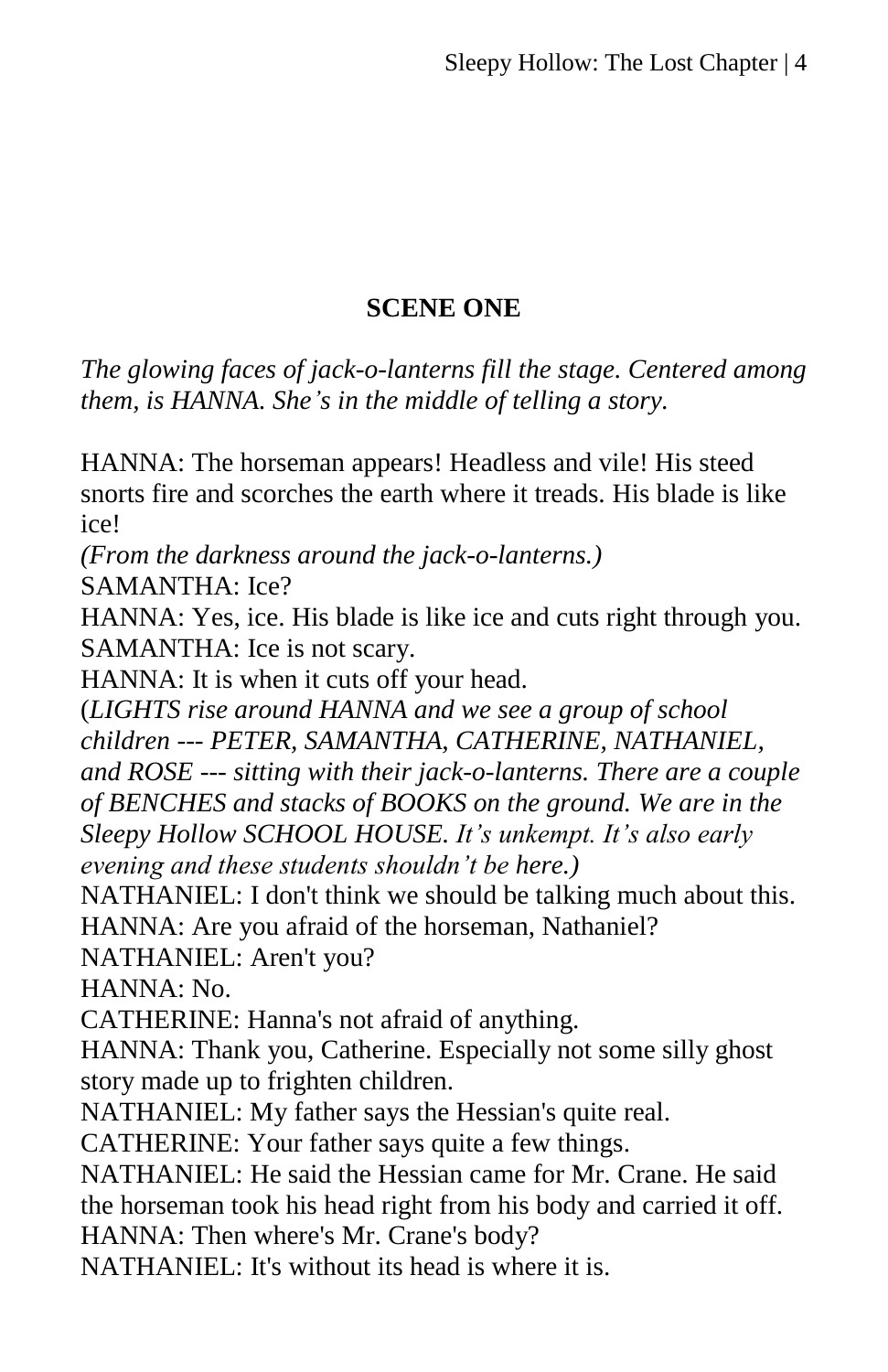# **SCENE ONE**

*The glowing faces of jack-o-lanterns fill the stage. Centered among them, is HANNA. She's in the middle of telling a story.*

HANNA: The horseman appears! Headless and vile! His steed snorts fire and scorches the earth where it treads. His blade is like ice!

*(From the darkness around the jack-o-lanterns.)*

SAMANTHA: Ice?

HANNA: Yes, ice. His blade is like ice and cuts right through you. SAMANTHA: Ice is not scary.

HANNA: It is when it cuts off your head.

(*LIGHTS rise around HANNA and we see a group of school children --- PETER, SAMANTHA, CATHERINE, NATHANIEL,* 

*and ROSE --- sitting with their jack-o-lanterns. There are a couple of BENCHES and stacks of BOOKS on the ground. We are in the Sleepy Hollow SCHOOL HOUSE. It's unkempt. It's also early evening and these students shouldn't be here.)*

NATHANIEL: I don't think we should be talking much about this. HANNA: Are you afraid of the horseman, Nathaniel?

NATHANIEL: Aren't you?

HANNA: No.

CATHERINE: Hanna's not afraid of anything.

HANNA: Thank you, Catherine. Especially not some silly ghost story made up to frighten children.

NATHANIEL: My father says the Hessian's quite real.

CATHERINE: Your father says quite a few things.

NATHANIEL: He said the Hessian came for Mr. Crane. He said the horseman took his head right from his body and carried it off. HANNA: Then where's Mr. Crane's body?

NATHANIEL: It's without its head is where it is.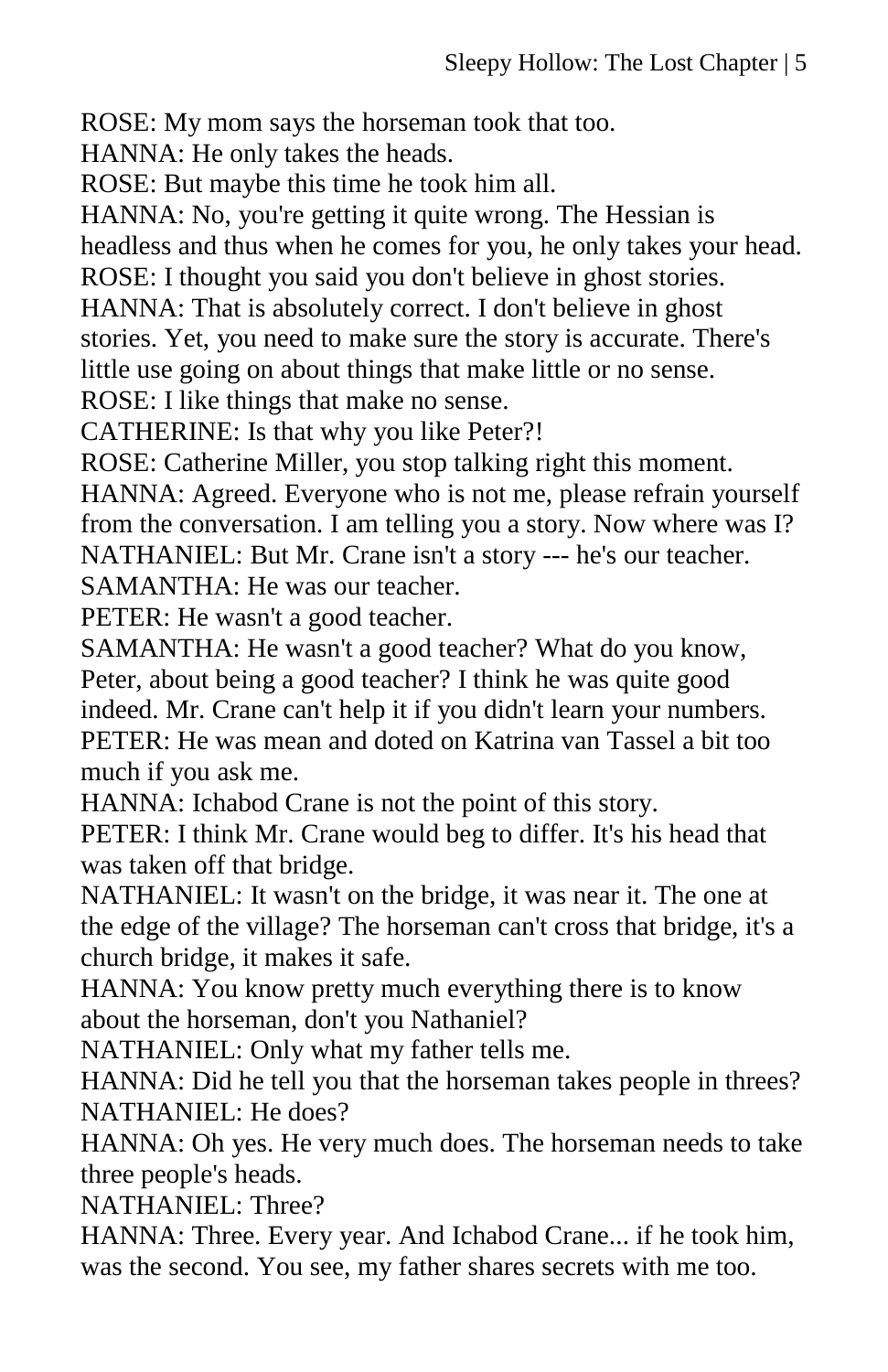ROSE: My mom says the horseman took that too.

HANNA: He only takes the heads.

ROSE: But maybe this time he took him all.

HANNA: No, you're getting it quite wrong. The Hessian is headless and thus when he comes for you, he only takes your head. ROSE: I thought you said you don't believe in ghost stories.

HANNA: That is absolutely correct. I don't believe in ghost

stories. Yet, you need to make sure the story is accurate. There's

little use going on about things that make little or no sense.

ROSE: I like things that make no sense.

CATHERINE: Is that why you like Peter?!

ROSE: Catherine Miller, you stop talking right this moment.

HANNA: Agreed. Everyone who is not me, please refrain yourself from the conversation. I am telling you a story. Now where was I?

NATHANIEL: But Mr. Crane isn't a story --- he's our teacher. SAMANTHA: He was our teacher.

PETER: He wasn't a good teacher.

SAMANTHA: He wasn't a good teacher? What do you know,

Peter, about being a good teacher? I think he was quite good indeed. Mr. Crane can't help it if you didn't learn your numbers. PETER: He was mean and doted on Katrina van Tassel a bit too much if you ask me.

HANNA: Ichabod Crane is not the point of this story.

PETER: I think Mr. Crane would beg to differ. It's his head that was taken off that bridge.

NATHANIEL: It wasn't on the bridge, it was near it. The one at the edge of the village? The horseman can't cross that bridge, it's a church bridge, it makes it safe.

HANNA: You know pretty much everything there is to know about the horseman, don't you Nathaniel?

NATHANIEL: Only what my father tells me.

HANNA: Did he tell you that the horseman takes people in threes? NATHANIEL: He does?

HANNA: Oh yes. He very much does. The horseman needs to take three people's heads.

NATHANIEL: Three?

HANNA: Three. Every year. And Ichabod Crane... if he took him, was the second. You see, my father shares secrets with me too.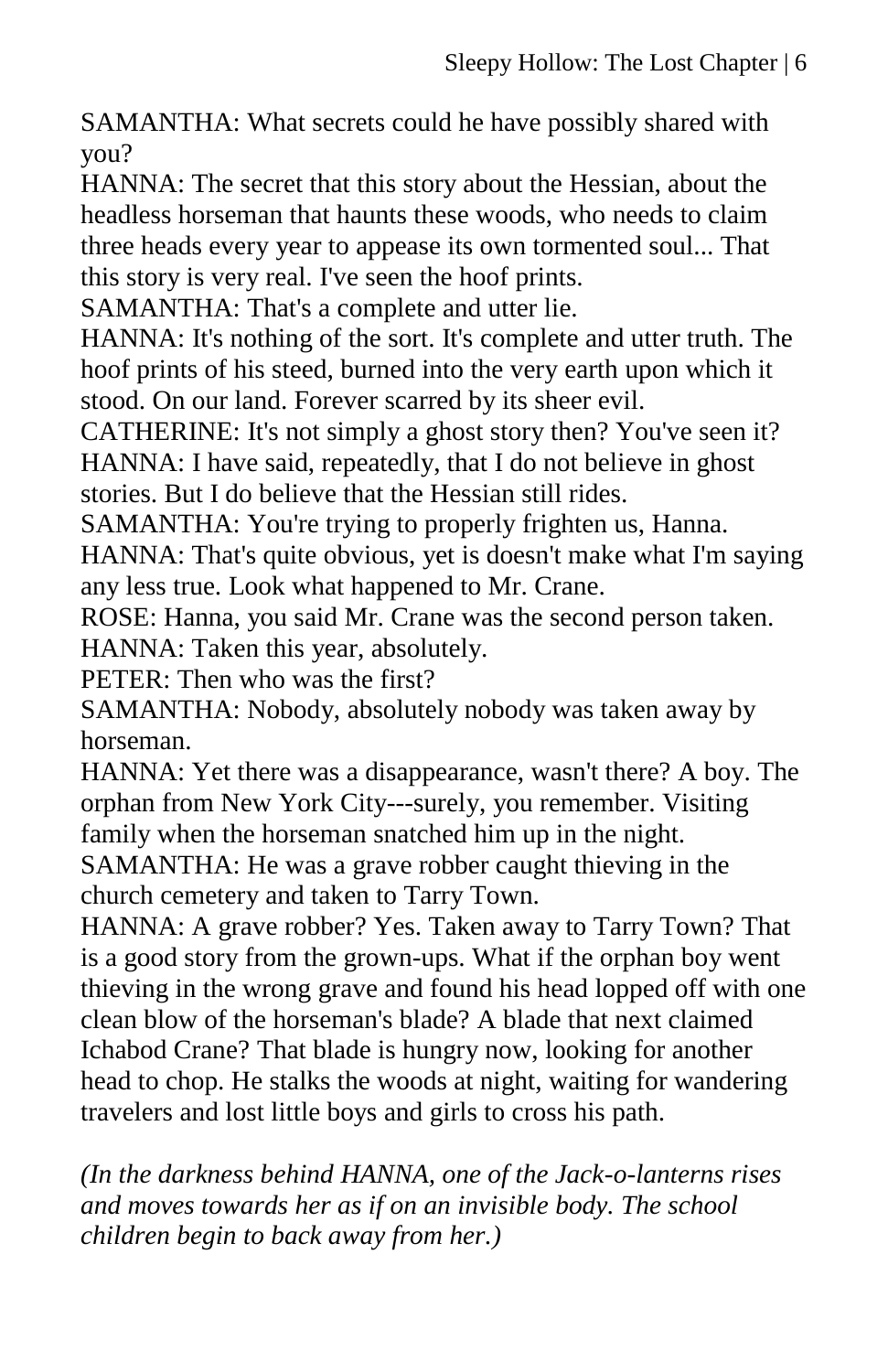SAMANTHA: What secrets could he have possibly shared with you?

HANNA: The secret that this story about the Hessian, about the headless horseman that haunts these woods, who needs to claim three heads every year to appease its own tormented soul... That this story is very real. I've seen the hoof prints.

SAMANTHA: That's a complete and utter lie.

HANNA: It's nothing of the sort. It's complete and utter truth. The hoof prints of his steed, burned into the very earth upon which it stood. On our land. Forever scarred by its sheer evil.

CATHERINE: It's not simply a ghost story then? You've seen it? HANNA: I have said, repeatedly, that I do not believe in ghost stories. But I do believe that the Hessian still rides.

SAMANTHA: You're trying to properly frighten us, Hanna. HANNA: That's quite obvious, yet is doesn't make what I'm saying any less true. Look what happened to Mr. Crane.

ROSE: Hanna, you said Mr. Crane was the second person taken. HANNA: Taken this year, absolutely.

PETER: Then who was the first?

SAMANTHA: Nobody, absolutely nobody was taken away by horseman.

HANNA: Yet there was a disappearance, wasn't there? A boy. The orphan from New York City---surely, you remember. Visiting family when the horseman snatched him up in the night.

SAMANTHA: He was a grave robber caught thieving in the church cemetery and taken to Tarry Town.

HANNA: A grave robber? Yes. Taken away to Tarry Town? That is a good story from the grown-ups. What if the orphan boy went thieving in the wrong grave and found his head lopped off with one clean blow of the horseman's blade? A blade that next claimed Ichabod Crane? That blade is hungry now, looking for another head to chop. He stalks the woods at night, waiting for wandering travelers and lost little boys and girls to cross his path.

*(In the darkness behind HANNA, one of the Jack-o-lanterns rises and moves towards her as if on an invisible body. The school children begin to back away from her.)*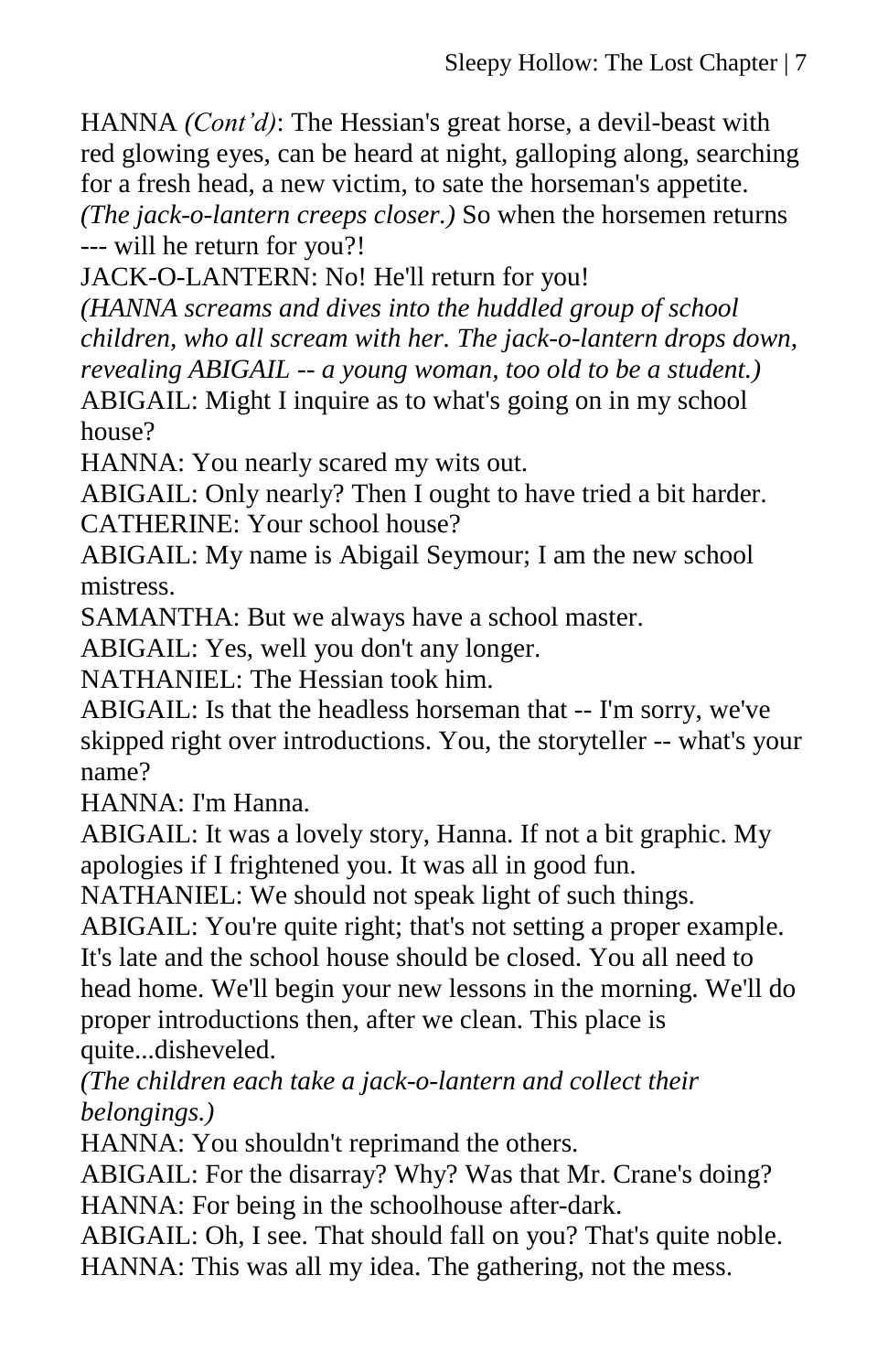HANNA *(Cont'd)*: The Hessian's great horse, a devil-beast with red glowing eyes, can be heard at night, galloping along, searching for a fresh head, a new victim, to sate the horseman's appetite. *(The jack-o-lantern creeps closer.)* So when the horsemen returns --- will he return for you?!

JACK-O-LANTERN: No! He'll return for you!

*(HANNA screams and dives into the huddled group of school children, who all scream with her. The jack-o-lantern drops down, revealing ABIGAIL -- a young woman, too old to be a student.)* ABIGAIL: Might I inquire as to what's going on in my school house?

HANNA: You nearly scared my wits out.

ABIGAIL: Only nearly? Then I ought to have tried a bit harder. CATHERINE: Your school house?

ABIGAIL: My name is Abigail Seymour; I am the new school mistress.

SAMANTHA: But we always have a school master.

ABIGAIL: Yes, well you don't any longer.

NATHANIEL: The Hessian took him.

ABIGAIL: Is that the headless horseman that -- I'm sorry, we've skipped right over introductions. You, the storyteller -- what's your name?

HANNA: I'm Hanna.

ABIGAIL: It was a lovely story, Hanna. If not a bit graphic. My apologies if I frightened you. It was all in good fun.

NATHANIEL: We should not speak light of such things.

ABIGAIL: You're quite right; that's not setting a proper example.

It's late and the school house should be closed. You all need to head home. We'll begin your new lessons in the morning. We'll do proper introductions then, after we clean. This place is quite...disheveled.

*(The children each take a jack-o-lantern and collect their belongings.)*

HANNA: You shouldn't reprimand the others.

ABIGAIL: For the disarray? Why? Was that Mr. Crane's doing? HANNA: For being in the schoolhouse after-dark.

ABIGAIL: Oh, I see. That should fall on you? That's quite noble. HANNA: This was all my idea. The gathering, not the mess.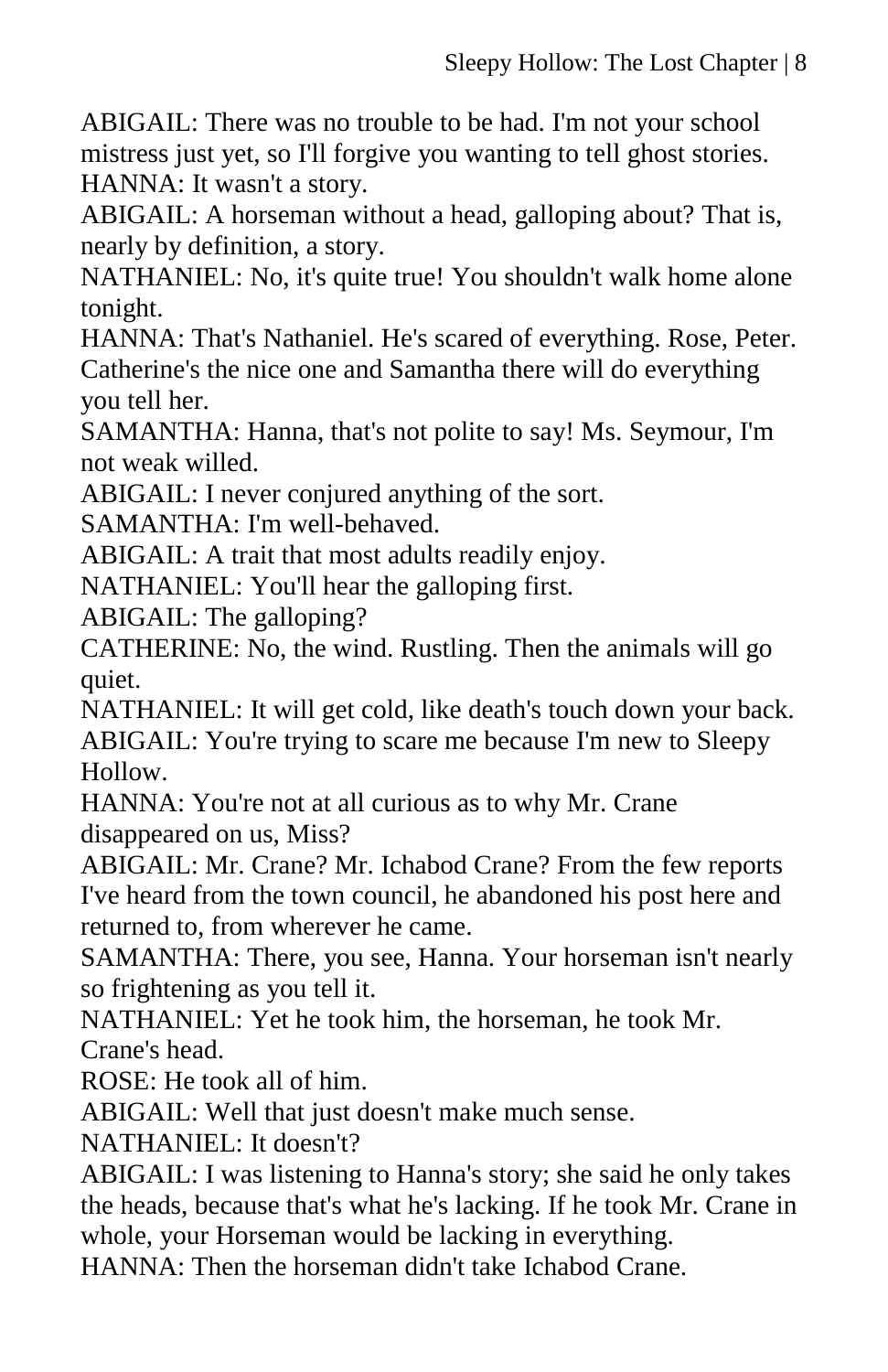ABIGAIL: There was no trouble to be had. I'm not your school mistress just yet, so I'll forgive you wanting to tell ghost stories. HANNA: It wasn't a story.

ABIGAIL: A horseman without a head, galloping about? That is, nearly by definition, a story.

NATHANIEL: No, it's quite true! You shouldn't walk home alone tonight.

HANNA: That's Nathaniel. He's scared of everything. Rose, Peter. Catherine's the nice one and Samantha there will do everything you tell her.

SAMANTHA: Hanna, that's not polite to say! Ms. Seymour, I'm not weak willed.

ABIGAIL: I never conjured anything of the sort.

SAMANTHA: I'm well-behaved.

ABIGAIL: A trait that most adults readily enjoy.

NATHANIEL: You'll hear the galloping first.

ABIGAIL: The galloping?

CATHERINE: No, the wind. Rustling. Then the animals will go quiet.

NATHANIEL: It will get cold, like death's touch down your back. ABIGAIL: You're trying to scare me because I'm new to Sleepy Hollow.

HANNA: You're not at all curious as to why Mr. Crane disappeared on us, Miss?

ABIGAIL: Mr. Crane? Mr. Ichabod Crane? From the few reports I've heard from the town council, he abandoned his post here and returned to, from wherever he came.

SAMANTHA: There, you see, Hanna. Your horseman isn't nearly so frightening as you tell it.

NATHANIEL: Yet he took him, the horseman, he took Mr. Crane's head.

ROSE: He took all of him.

ABIGAIL: Well that just doesn't make much sense.

NATHANIEL: It doesn't?

ABIGAIL: I was listening to Hanna's story; she said he only takes the heads, because that's what he's lacking. If he took Mr. Crane in whole, your Horseman would be lacking in everything.

HANNA: Then the horseman didn't take Ichabod Crane.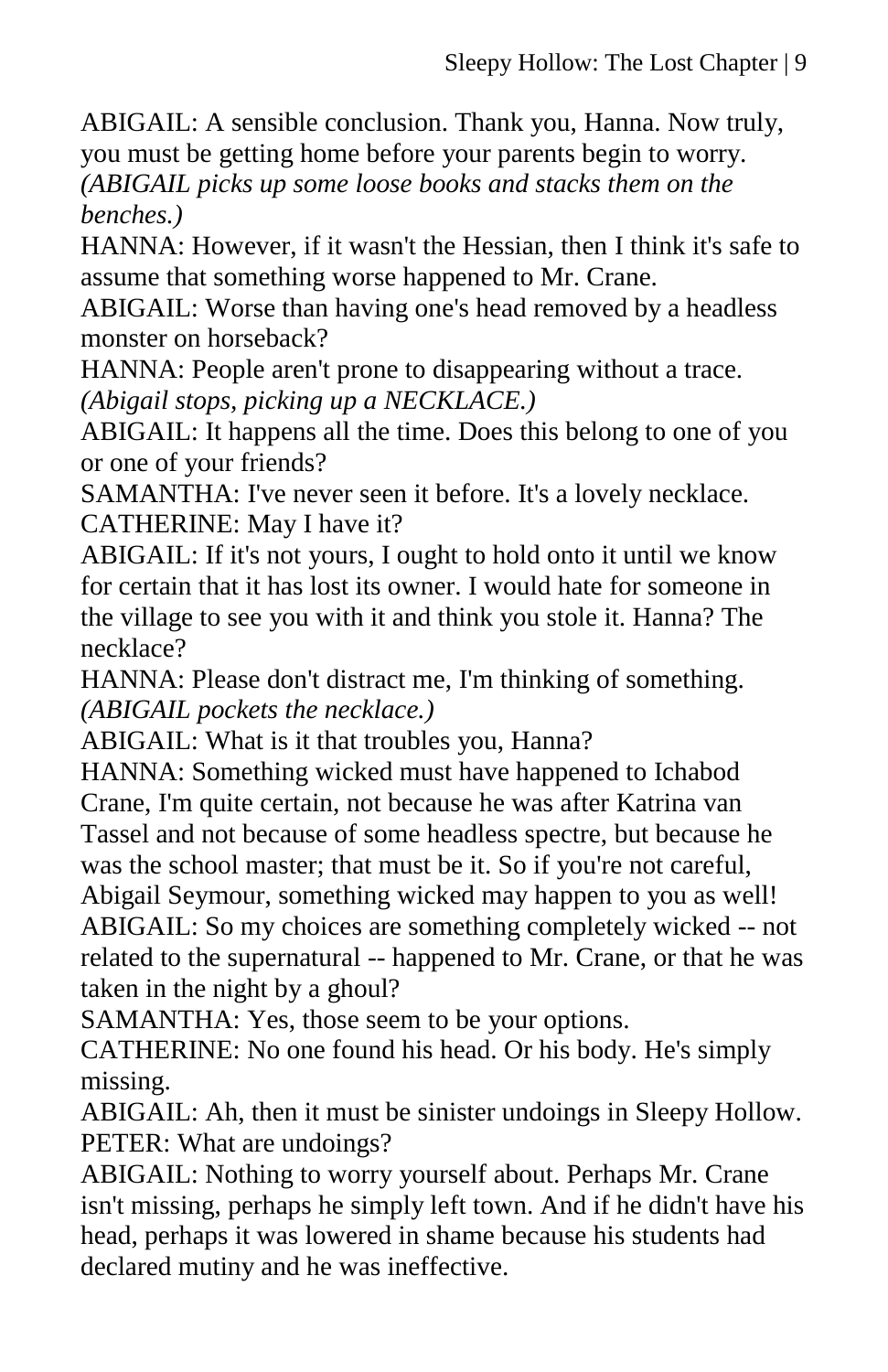ABIGAIL: A sensible conclusion. Thank you, Hanna. Now truly, you must be getting home before your parents begin to worry.

*(ABIGAIL picks up some loose books and stacks them on the benches.)*

HANNA: However, if it wasn't the Hessian, then I think it's safe to assume that something worse happened to Mr. Crane.

ABIGAIL: Worse than having one's head removed by a headless monster on horseback?

HANNA: People aren't prone to disappearing without a trace. *(Abigail stops, picking up a NECKLACE.)*

ABIGAIL: It happens all the time. Does this belong to one of you or one of your friends?

SAMANTHA: I've never seen it before. It's a lovely necklace. CATHERINE: May I have it?

ABIGAIL: If it's not yours, I ought to hold onto it until we know for certain that it has lost its owner. I would hate for someone in the village to see you with it and think you stole it. Hanna? The necklace?

HANNA: Please don't distract me, I'm thinking of something. *(ABIGAIL pockets the necklace.)*

ABIGAIL: What is it that troubles you, Hanna?

HANNA: Something wicked must have happened to Ichabod Crane, I'm quite certain, not because he was after Katrina van Tassel and not because of some headless spectre, but because he was the school master; that must be it. So if you're not careful,

Abigail Seymour, something wicked may happen to you as well! ABIGAIL: So my choices are something completely wicked -- not related to the supernatural -- happened to Mr. Crane, or that he was taken in the night by a ghoul?

SAMANTHA: Yes, those seem to be your options.

CATHERINE: No one found his head. Or his body. He's simply missing.

ABIGAIL: Ah, then it must be sinister undoings in Sleepy Hollow. PETER: What are undoings?

ABIGAIL: Nothing to worry yourself about. Perhaps Mr. Crane isn't missing, perhaps he simply left town. And if he didn't have his head, perhaps it was lowered in shame because his students had declared mutiny and he was ineffective.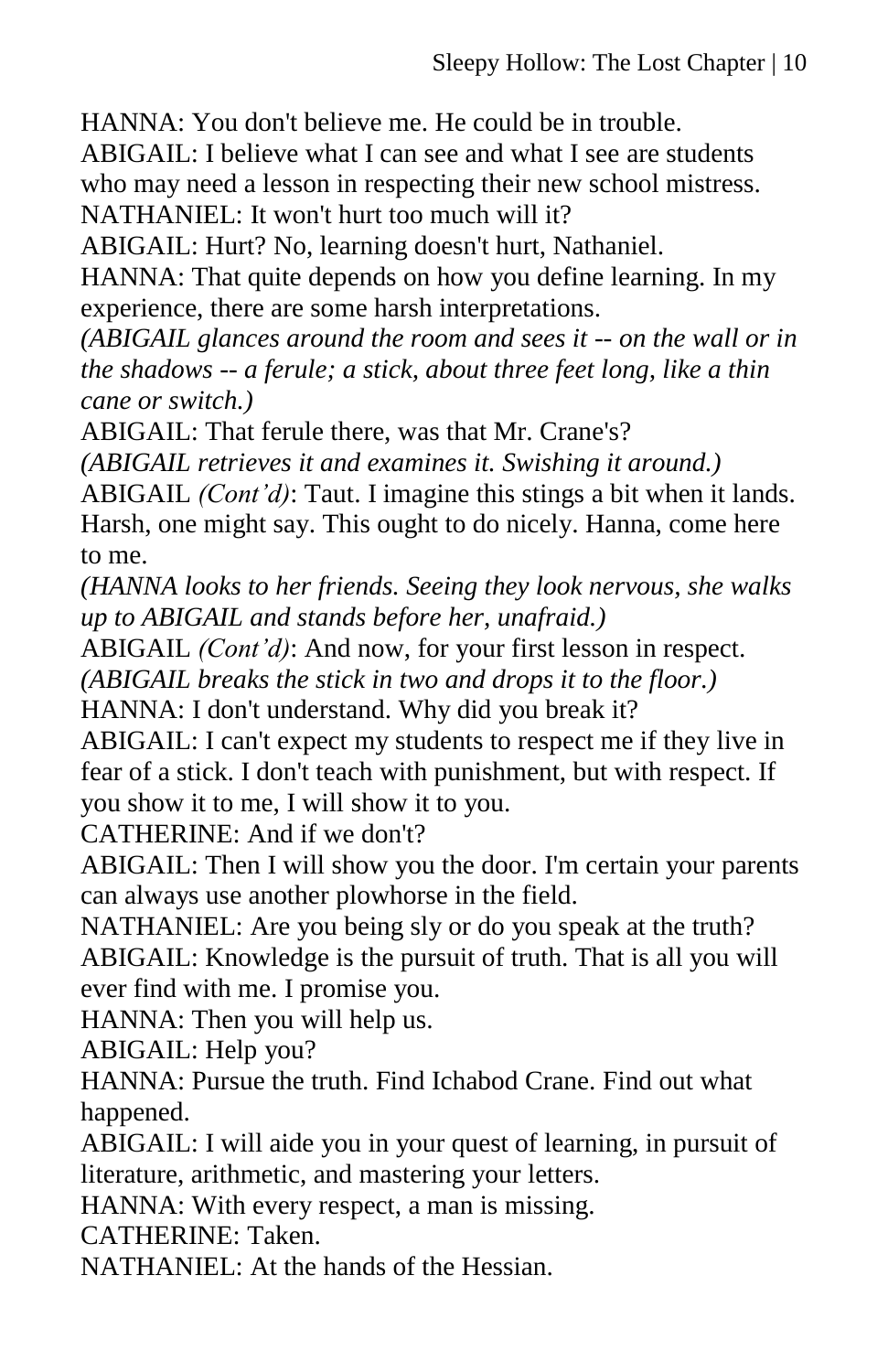HANNA: You don't believe me. He could be in trouble.

ABIGAIL: I believe what I can see and what I see are students who may need a lesson in respecting their new school mistress. NATHANIEL: It won't hurt too much will it?

ABIGAIL: Hurt? No, learning doesn't hurt, Nathaniel.

HANNA: That quite depends on how you define learning. In my experience, there are some harsh interpretations.

*(ABIGAIL glances around the room and sees it -- on the wall or in the shadows -- a ferule; a stick, about three feet long, like a thin cane or switch.)*

ABIGAIL: That ferule there, was that Mr. Crane's?

*(ABIGAIL retrieves it and examines it. Swishing it around.)*

ABIGAIL *(Cont'd)*: Taut. I imagine this stings a bit when it lands. Harsh, one might say. This ought to do nicely. Hanna, come here to me.

*(HANNA looks to her friends. Seeing they look nervous, she walks up to ABIGAIL and stands before her, unafraid.)*

ABIGAIL *(Cont'd)*: And now, for your first lesson in respect.

*(ABIGAIL breaks the stick in two and drops it to the floor.)* HANNA: I don't understand. Why did you break it?

ABIGAIL: I can't expect my students to respect me if they live in fear of a stick. I don't teach with punishment, but with respect. If you show it to me, I will show it to you.

CATHERINE: And if we don't?

ABIGAIL: Then I will show you the door. I'm certain your parents can always use another plowhorse in the field.

NATHANIEL: Are you being sly or do you speak at the truth? ABIGAIL: Knowledge is the pursuit of truth. That is all you will ever find with me. I promise you.

HANNA: Then you will help us.

ABIGAIL: Help you?

HANNA: Pursue the truth. Find Ichabod Crane. Find out what happened.

ABIGAIL: I will aide you in your quest of learning, in pursuit of literature, arithmetic, and mastering your letters.

HANNA: With every respect, a man is missing.

CATHERINE: Taken.

NATHANIEL: At the hands of the Hessian.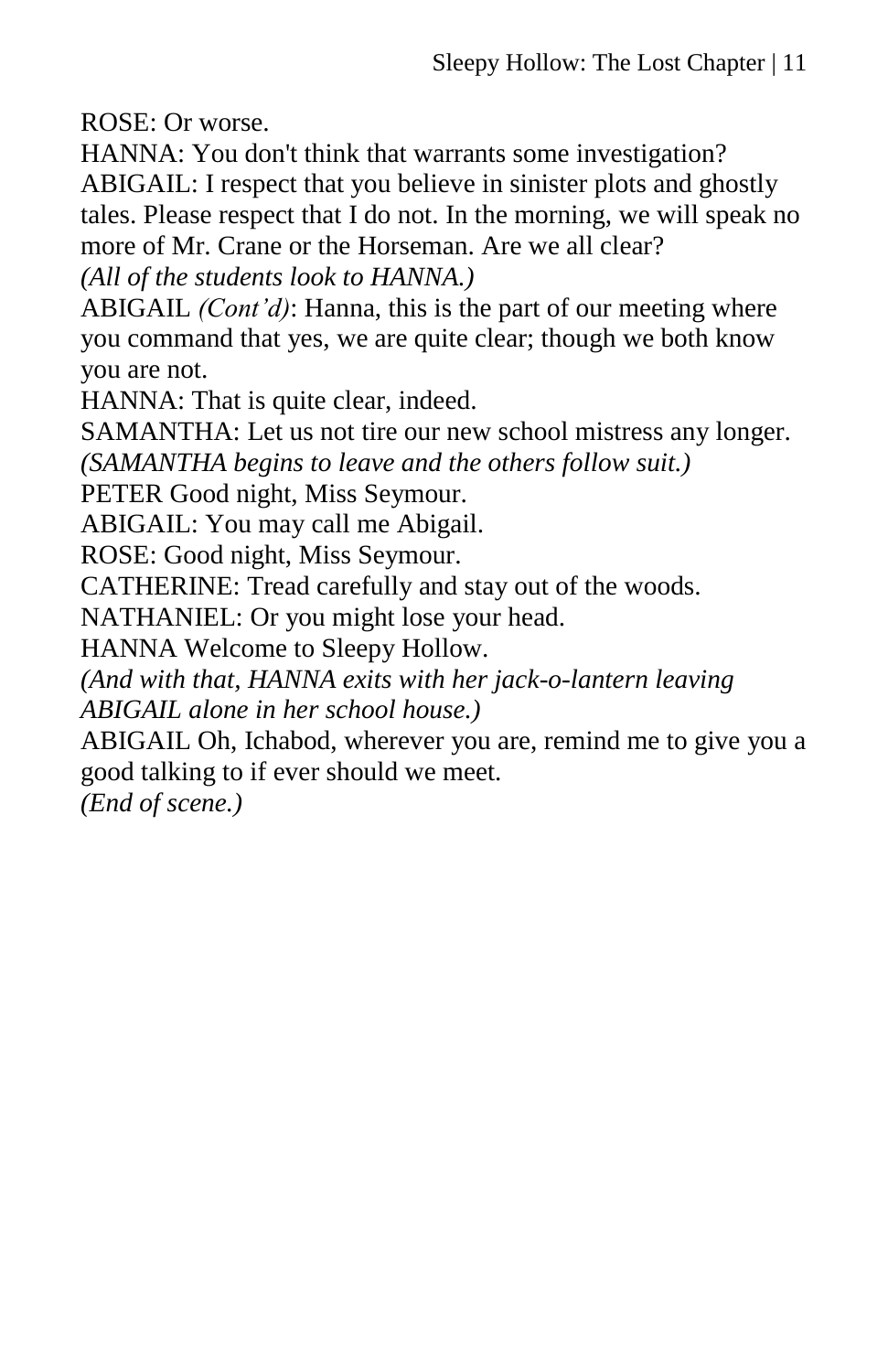ROSE: Or worse.

HANNA: You don't think that warrants some investigation? ABIGAIL: I respect that you believe in sinister plots and ghostly tales. Please respect that I do not. In the morning, we will speak no more of Mr. Crane or the Horseman. Are we all clear? *(All of the students look to HANNA.)*

ABIGAIL *(Cont'd)*: Hanna, this is the part of our meeting where you command that yes, we are quite clear; though we both know you are not.

HANNA: That is quite clear, indeed.

SAMANTHA: Let us not tire our new school mistress any longer. *(SAMANTHA begins to leave and the others follow suit.)*

PETER Good night, Miss Seymour.

ABIGAIL: You may call me Abigail.

ROSE: Good night, Miss Seymour.

CATHERINE: Tread carefully and stay out of the woods.

NATHANIEL: Or you might lose your head.

HANNA Welcome to Sleepy Hollow.

*(And with that, HANNA exits with her jack-o-lantern leaving ABIGAIL alone in her school house.)*

ABIGAIL Oh, Ichabod, wherever you are, remind me to give you a good talking to if ever should we meet.

*(End of scene.)*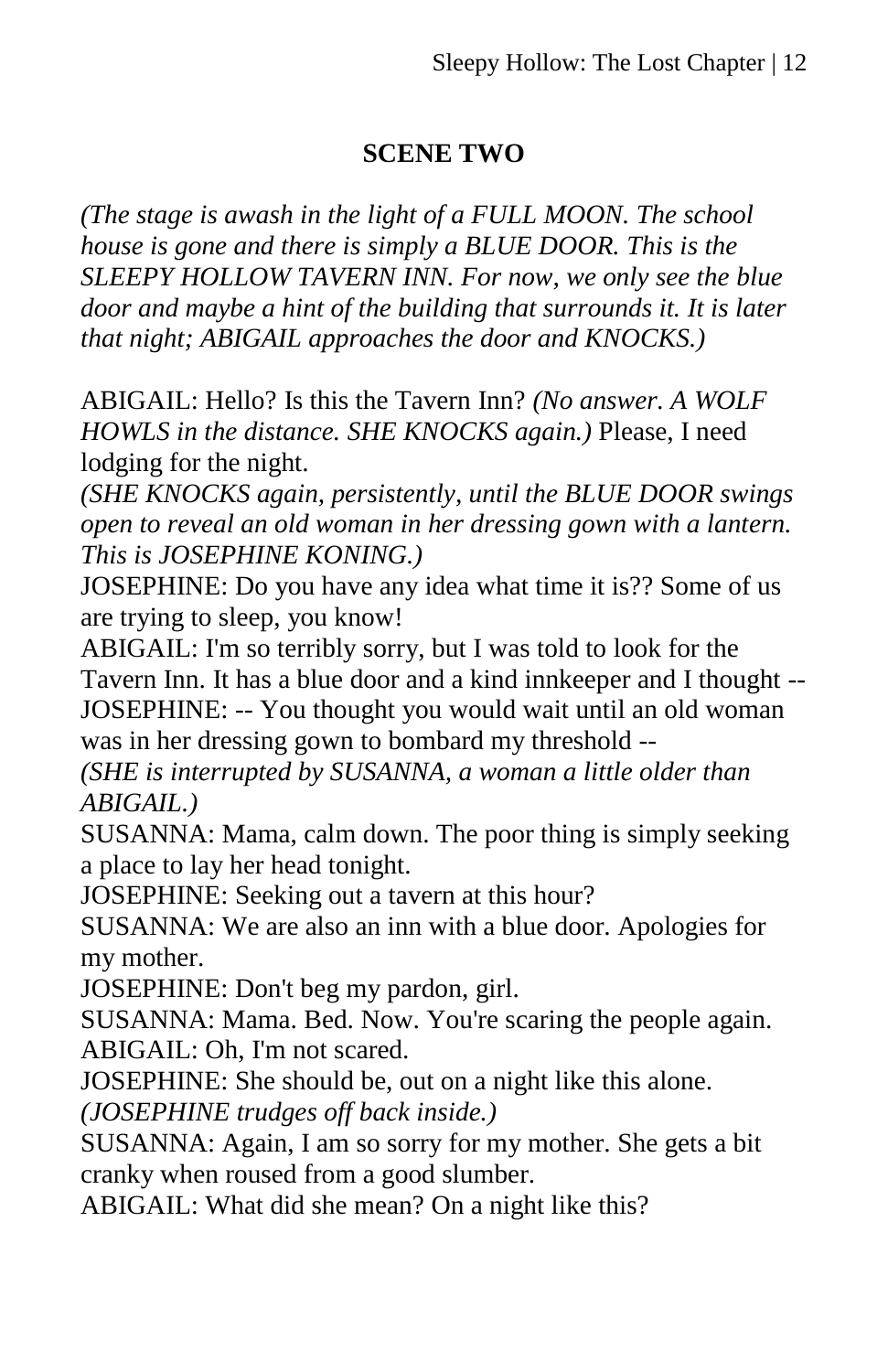#### **SCENE TWO**

*(The stage is awash in the light of a FULL MOON. The school house is gone and there is simply a BLUE DOOR. This is the SLEEPY HOLLOW TAVERN INN. For now, we only see the blue door and maybe a hint of the building that surrounds it. It is later that night; ABIGAIL approaches the door and KNOCKS.)*

ABIGAIL: Hello? Is this the Tavern Inn? *(No answer. A WOLF HOWLS in the distance. SHE KNOCKS again.)* Please, I need lodging for the night.

*(SHE KNOCKS again, persistently, until the BLUE DOOR swings open to reveal an old woman in her dressing gown with a lantern. This is JOSEPHINE KONING.)*

JOSEPHINE: Do you have any idea what time it is?? Some of us are trying to sleep, you know!

ABIGAIL: I'm so terribly sorry, but I was told to look for the Tavern Inn. It has a blue door and a kind innkeeper and I thought -- JOSEPHINE: -- You thought you would wait until an old woman was in her dressing gown to bombard my threshold --

*(SHE is interrupted by SUSANNA, a woman a little older than ABIGAIL.)*

SUSANNA: Mama, calm down. The poor thing is simply seeking a place to lay her head tonight.

JOSEPHINE: Seeking out a tavern at this hour?

SUSANNA: We are also an inn with a blue door. Apologies for my mother.

JOSEPHINE: Don't beg my pardon, girl.

SUSANNA: Mama. Bed. Now. You're scaring the people again. ABIGAIL: Oh, I'm not scared.

JOSEPHINE: She should be, out on a night like this alone.

*(JOSEPHINE trudges off back inside.)*

SUSANNA: Again, I am so sorry for my mother. She gets a bit cranky when roused from a good slumber.

ABIGAIL: What did she mean? On a night like this?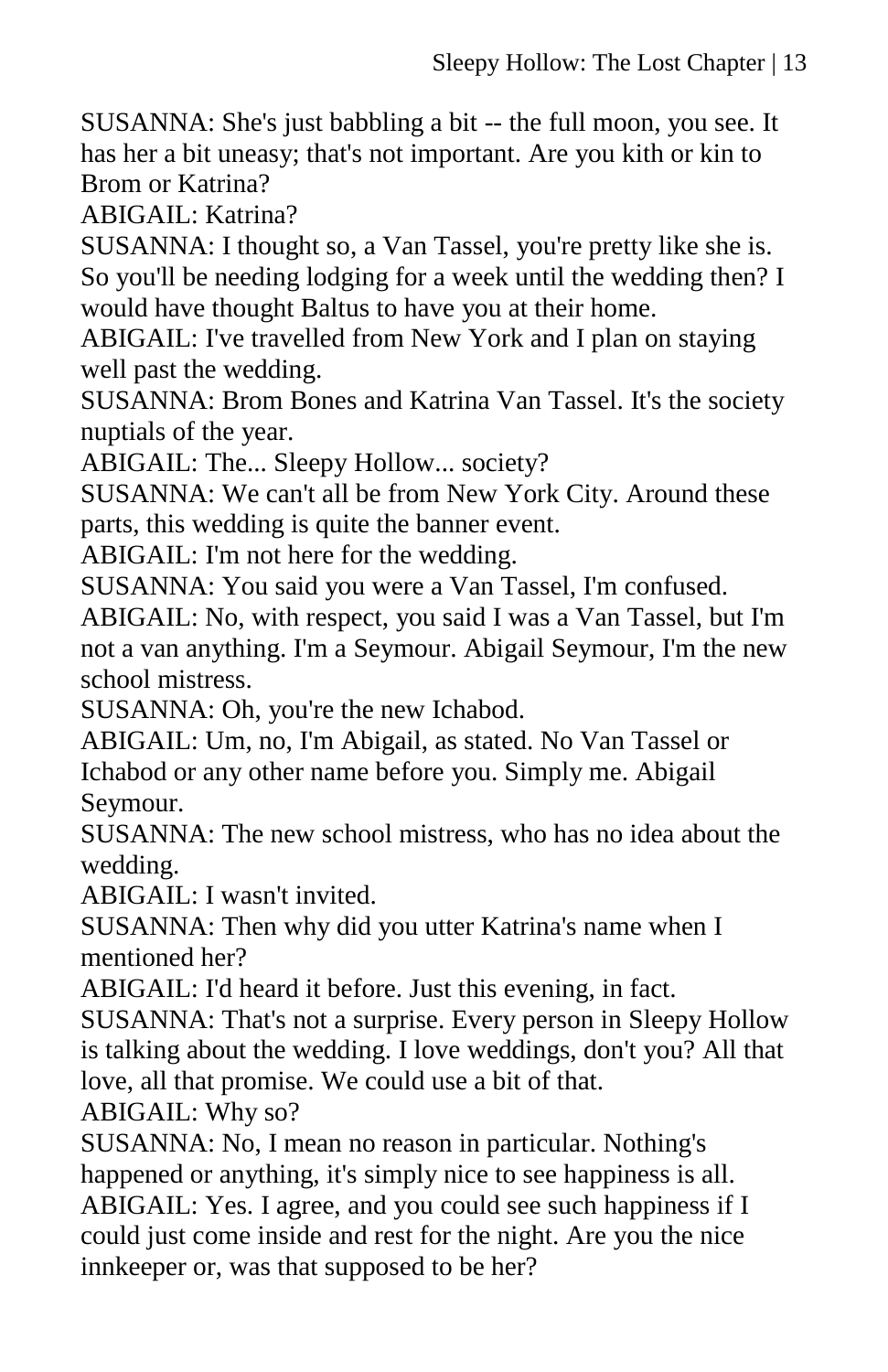SUSANNA: She's just babbling a bit -- the full moon, you see. It has her a bit uneasy; that's not important. Are you kith or kin to Brom or Katrina?

ABIGAIL: Katrina?

SUSANNA: I thought so, a Van Tassel, you're pretty like she is. So you'll be needing lodging for a week until the wedding then? I would have thought Baltus to have you at their home.

ABIGAIL: I've travelled from New York and I plan on staying well past the wedding.

SUSANNA: Brom Bones and Katrina Van Tassel. It's the society nuptials of the year.

ABIGAIL: The... Sleepy Hollow... society?

SUSANNA: We can't all be from New York City. Around these parts, this wedding is quite the banner event.

ABIGAIL: I'm not here for the wedding.

SUSANNA: You said you were a Van Tassel, I'm confused.

ABIGAIL: No, with respect, you said I was a Van Tassel, but I'm not a van anything. I'm a Seymour. Abigail Seymour, I'm the new school mistress.

SUSANNA: Oh, you're the new Ichabod.

ABIGAIL: Um, no, I'm Abigail, as stated. No Van Tassel or Ichabod or any other name before you. Simply me. Abigail Seymour.

SUSANNA: The new school mistress, who has no idea about the wedding.

ABIGAIL: I wasn't invited.

SUSANNA: Then why did you utter Katrina's name when I mentioned her?

ABIGAIL: I'd heard it before. Just this evening, in fact.

SUSANNA: That's not a surprise. Every person in Sleepy Hollow is talking about the wedding. I love weddings, don't you? All that love, all that promise. We could use a bit of that.

ABIGAIL: Why so?

SUSANNA: No, I mean no reason in particular. Nothing's happened or anything, it's simply nice to see happiness is all. ABIGAIL: Yes. I agree, and you could see such happiness if I could just come inside and rest for the night. Are you the nice innkeeper or, was that supposed to be her?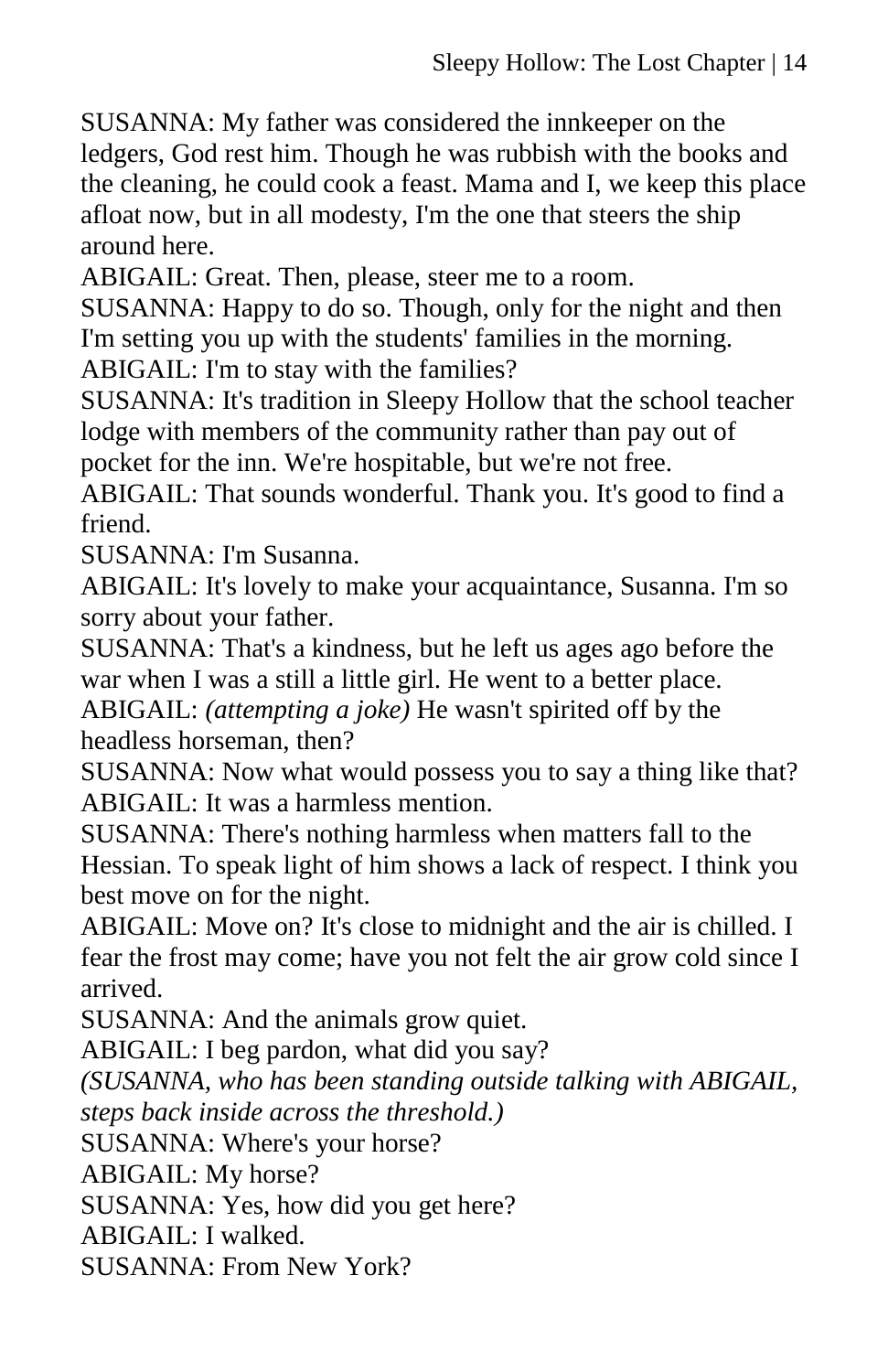SUSANNA: My father was considered the innkeeper on the ledgers, God rest him. Though he was rubbish with the books and the cleaning, he could cook a feast. Mama and I, we keep this place afloat now, but in all modesty, I'm the one that steers the ship around here.

ABIGAIL: Great. Then, please, steer me to a room.

SUSANNA: Happy to do so. Though, only for the night and then I'm setting you up with the students' families in the morning. ABIGAIL: I'm to stay with the families?

SUSANNA: It's tradition in Sleepy Hollow that the school teacher lodge with members of the community rather than pay out of pocket for the inn. We're hospitable, but we're not free.

ABIGAIL: That sounds wonderful. Thank you. It's good to find a friend.

SUSANNA: I'm Susanna.

ABIGAIL: It's lovely to make your acquaintance, Susanna. I'm so sorry about your father.

SUSANNA: That's a kindness, but he left us ages ago before the war when I was a still a little girl. He went to a better place. ABIGAIL: *(attempting a joke)* He wasn't spirited off by the headless horseman, then?

SUSANNA: Now what would possess you to say a thing like that? ABIGAIL: It was a harmless mention.

SUSANNA: There's nothing harmless when matters fall to the Hessian. To speak light of him shows a lack of respect. I think you best move on for the night.

ABIGAIL: Move on? It's close to midnight and the air is chilled. I fear the frost may come; have you not felt the air grow cold since I arrived.

SUSANNA: And the animals grow quiet.

ABIGAIL: I beg pardon, what did you say?

*(SUSANNA, who has been standing outside talking with ABIGAIL,* 

*steps back inside across the threshold.)*

SUSANNA: Where's your horse?

ABIGAIL: My horse?

SUSANNA: Yes, how did you get here?

ABIGAIL: I walked.

SUSANNA: From New York?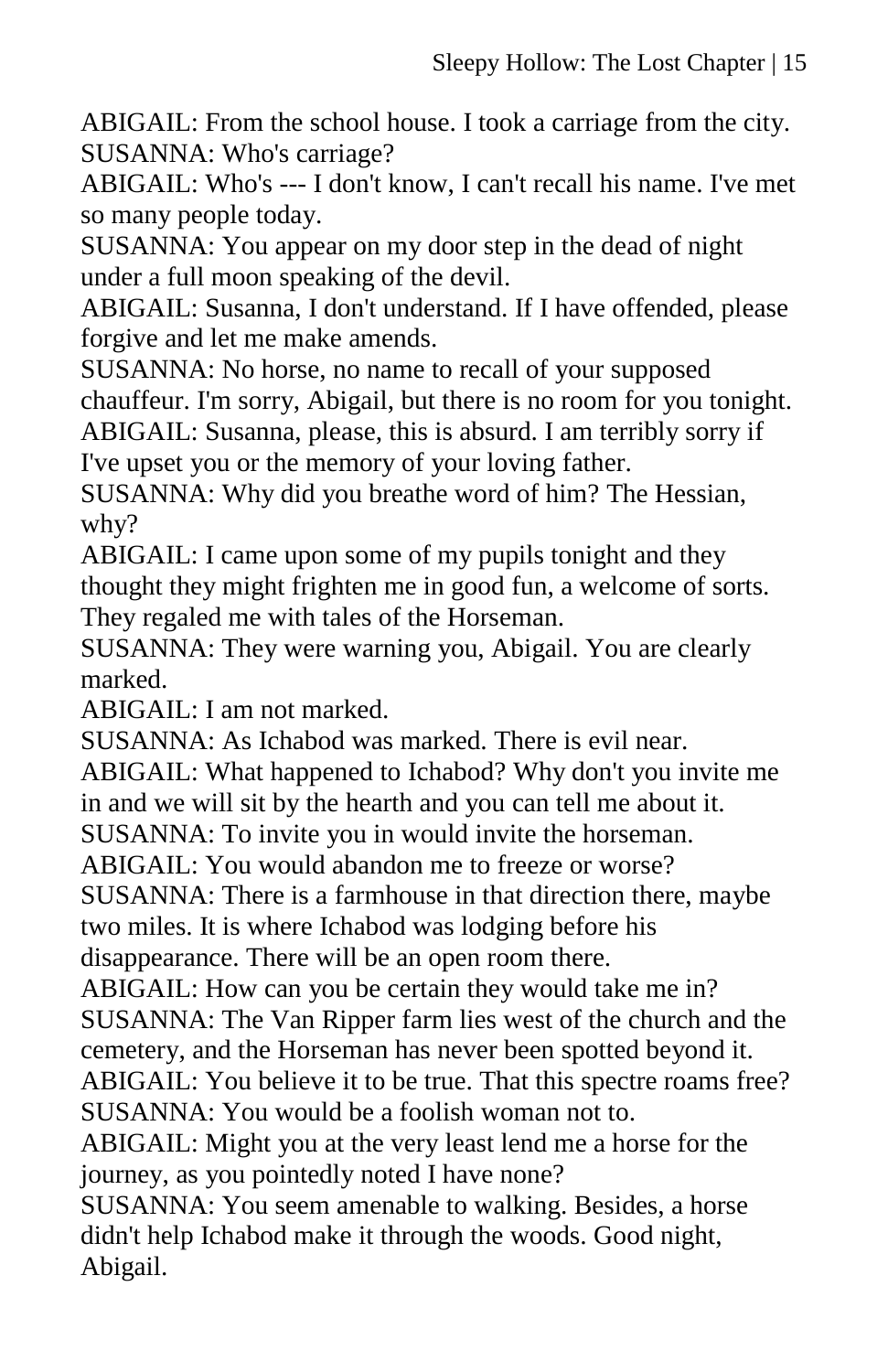ABIGAIL: From the school house. I took a carriage from the city. SUSANNA: Who's carriage?

ABIGAIL: Who's --- I don't know, I can't recall his name. I've met so many people today.

SUSANNA: You appear on my door step in the dead of night under a full moon speaking of the devil.

ABIGAIL: Susanna, I don't understand. If I have offended, please forgive and let me make amends.

SUSANNA: No horse, no name to recall of your supposed chauffeur. I'm sorry, Abigail, but there is no room for you tonight. ABIGAIL: Susanna, please, this is absurd. I am terribly sorry if I've upset you or the memory of your loving father.

SUSANNA: Why did you breathe word of him? The Hessian, why?

ABIGAIL: I came upon some of my pupils tonight and they thought they might frighten me in good fun, a welcome of sorts. They regaled me with tales of the Horseman.

SUSANNA: They were warning you, Abigail. You are clearly marked.

ABIGAIL: I am not marked.

SUSANNA: As Ichabod was marked. There is evil near.

ABIGAIL: What happened to Ichabod? Why don't you invite me in and we will sit by the hearth and you can tell me about it.

SUSANNA: To invite you in would invite the horseman.

ABIGAIL: You would abandon me to freeze or worse?

SUSANNA: There is a farmhouse in that direction there, maybe two miles. It is where Ichabod was lodging before his disappearance. There will be an open room there.

ABIGAIL: How can you be certain they would take me in? SUSANNA: The Van Ripper farm lies west of the church and the cemetery, and the Horseman has never been spotted beyond it.

ABIGAIL: You believe it to be true. That this spectre roams free? SUSANNA: You would be a foolish woman not to.

ABIGAIL: Might you at the very least lend me a horse for the journey, as you pointedly noted I have none?

SUSANNA: You seem amenable to walking. Besides, a horse didn't help Ichabod make it through the woods. Good night, Abigail.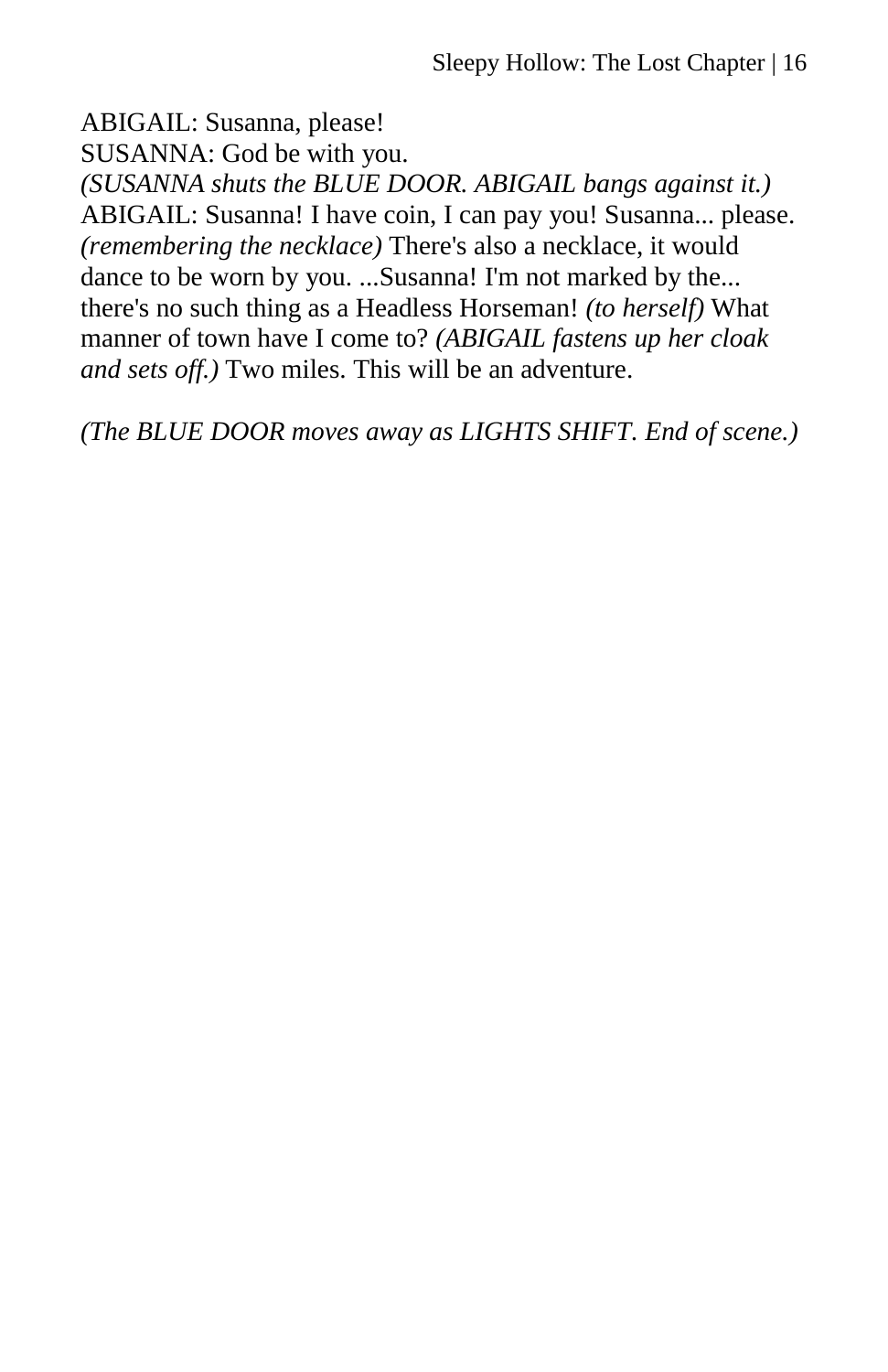ABIGAIL: Susanna, please! SUSANNA: God be with you. *(SUSANNA shuts the BLUE DOOR. ABIGAIL bangs against it.)* ABIGAIL: Susanna! I have coin, I can pay you! Susanna... please. *(remembering the necklace)* There's also a necklace, it would dance to be worn by you. ...Susanna! I'm not marked by the... there's no such thing as a Headless Horseman! *(to herself)* What manner of town have I come to? *(ABIGAIL fastens up her cloak and sets off.)* Two miles. This will be an adventure.

*(The BLUE DOOR moves away as LIGHTS SHIFT. End of scene.)*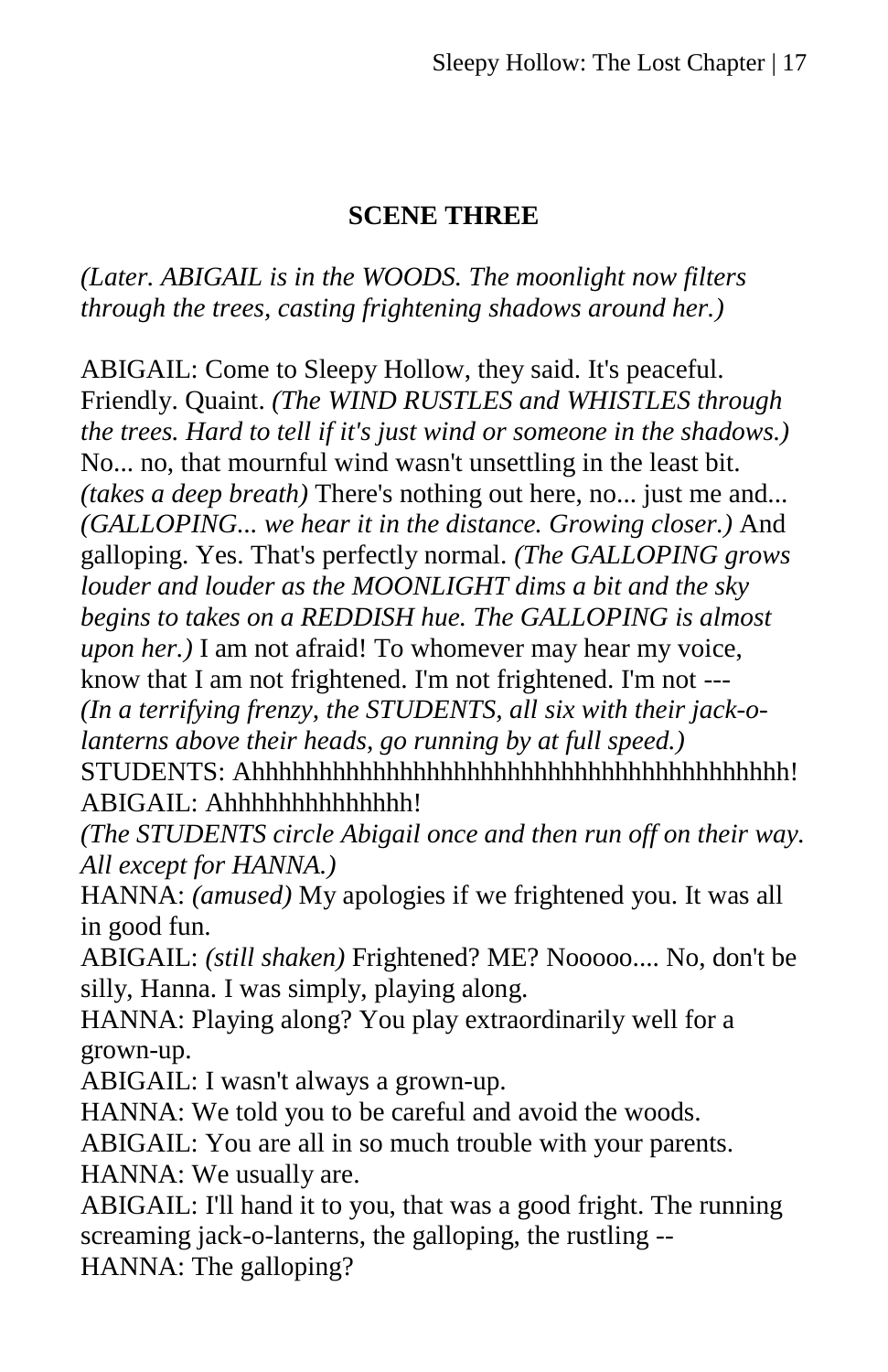# **SCENE THREE**

*(Later. ABIGAIL is in the WOODS. The moonlight now filters through the trees, casting frightening shadows around her.)*

ABIGAIL: Come to Sleepy Hollow, they said. It's peaceful. Friendly. Quaint. *(The WIND RUSTLES and WHISTLES through the trees. Hard to tell if it's just wind or someone in the shadows.)* No... no, that mournful wind wasn't unsettling in the least bit. *(takes a deep breath)* There's nothing out here, no... just me and... *(GALLOPING... we hear it in the distance. Growing closer.)* And galloping. Yes. That's perfectly normal. *(The GALLOPING grows louder and louder as the MOONLIGHT dims a bit and the sky begins to takes on a REDDISH hue. The GALLOPING is almost upon her.)* I am not afraid! To whomever may hear my voice, know that I am not frightened. I'm not frightened. I'm not ---*(In a terrifying frenzy, the STUDENTS, all six with their jack-olanterns above their heads, go running by at full speed.)* STUDENTS: Ahhhhhhhhhhhhhhhhhhhhhhhhhhhhhhhhhhhhhhhh! ABIGAIL: Ahhhhhhhhhhhhhh!

*(The STUDENTS circle Abigail once and then run off on their way. All except for HANNA.)*

HANNA: *(amused)* My apologies if we frightened you. It was all in good fun.

ABIGAIL: *(still shaken)* Frightened? ME? Nooooo.... No, don't be silly, Hanna. I was simply, playing along.

HANNA: Playing along? You play extraordinarily well for a grown-up.

ABIGAIL: I wasn't always a grown-up.

HANNA: We told you to be careful and avoid the woods.

ABIGAIL: You are all in so much trouble with your parents.

HANNA: We usually are.

ABIGAIL: I'll hand it to you, that was a good fright. The running screaming jack-o-lanterns, the galloping, the rustling -- HANNA: The galloping?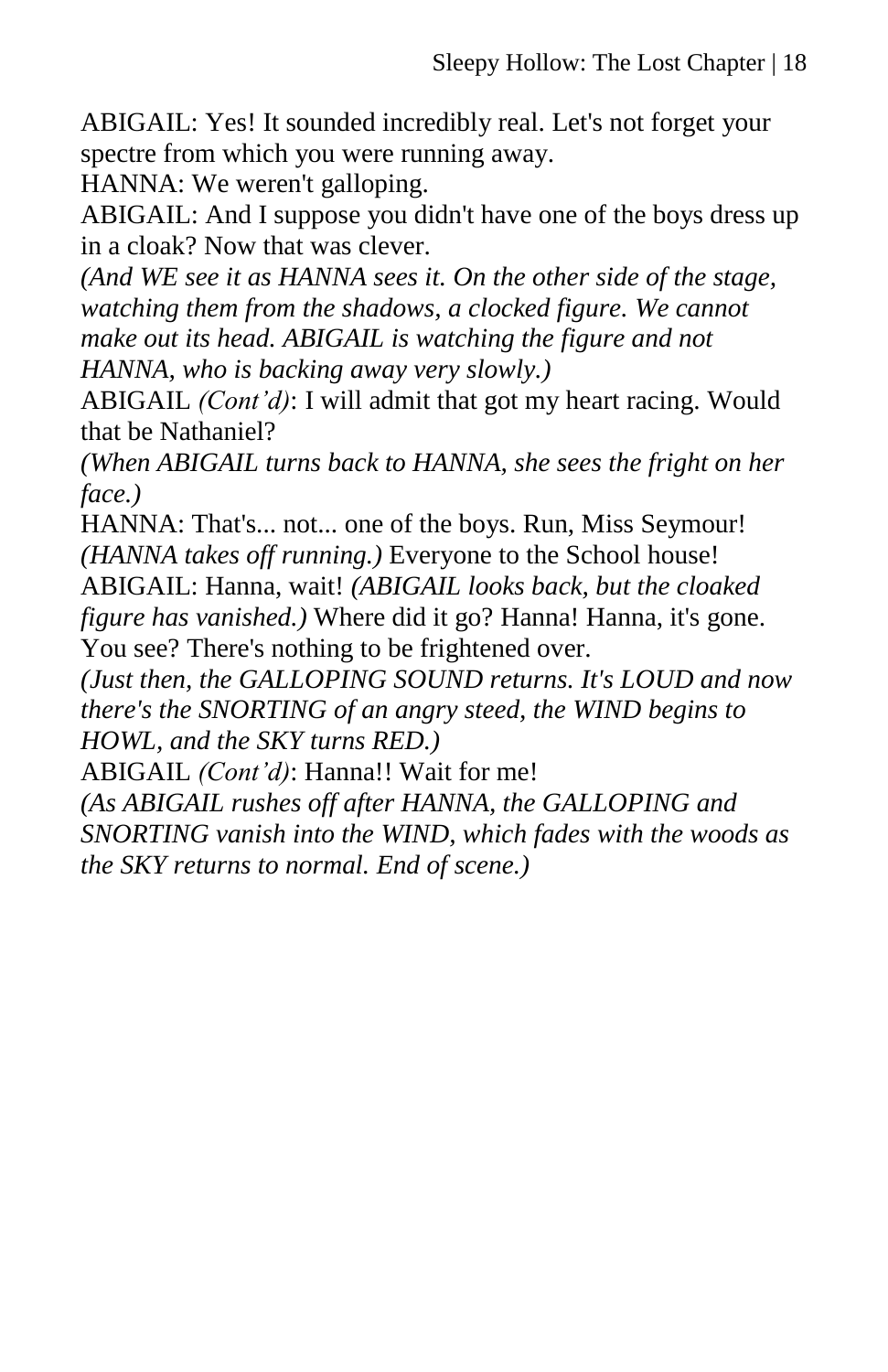ABIGAIL: Yes! It sounded incredibly real. Let's not forget your spectre from which you were running away.

HANNA: We weren't galloping.

ABIGAIL: And I suppose you didn't have one of the boys dress up in a cloak? Now that was clever.

*(And WE see it as HANNA sees it. On the other side of the stage, watching them from the shadows, a clocked figure. We cannot make out its head. ABIGAIL is watching the figure and not HANNA, who is backing away very slowly.)*

ABIGAIL *(Cont'd)*: I will admit that got my heart racing. Would that be Nathaniel?

*(When ABIGAIL turns back to HANNA, she sees the fright on her face.)*

HANNA: That's... not... one of the boys. Run, Miss Seymour! *(HANNA takes off running.)* Everyone to the School house!

ABIGAIL: Hanna, wait! *(ABIGAIL looks back, but the cloaked figure has vanished.*) Where did it go? Hanna! Hanna, it's gone.

You see? There's nothing to be frightened over.

*(Just then, the GALLOPING SOUND returns. It's LOUD and now there's the SNORTING of an angry steed, the WIND begins to HOWL, and the SKY turns RED.)*

ABIGAIL *(Cont'd)*: Hanna!! Wait for me!

*(As ABIGAIL rushes off after HANNA, the GALLOPING and SNORTING vanish into the WIND, which fades with the woods as the SKY returns to normal. End of scene.)*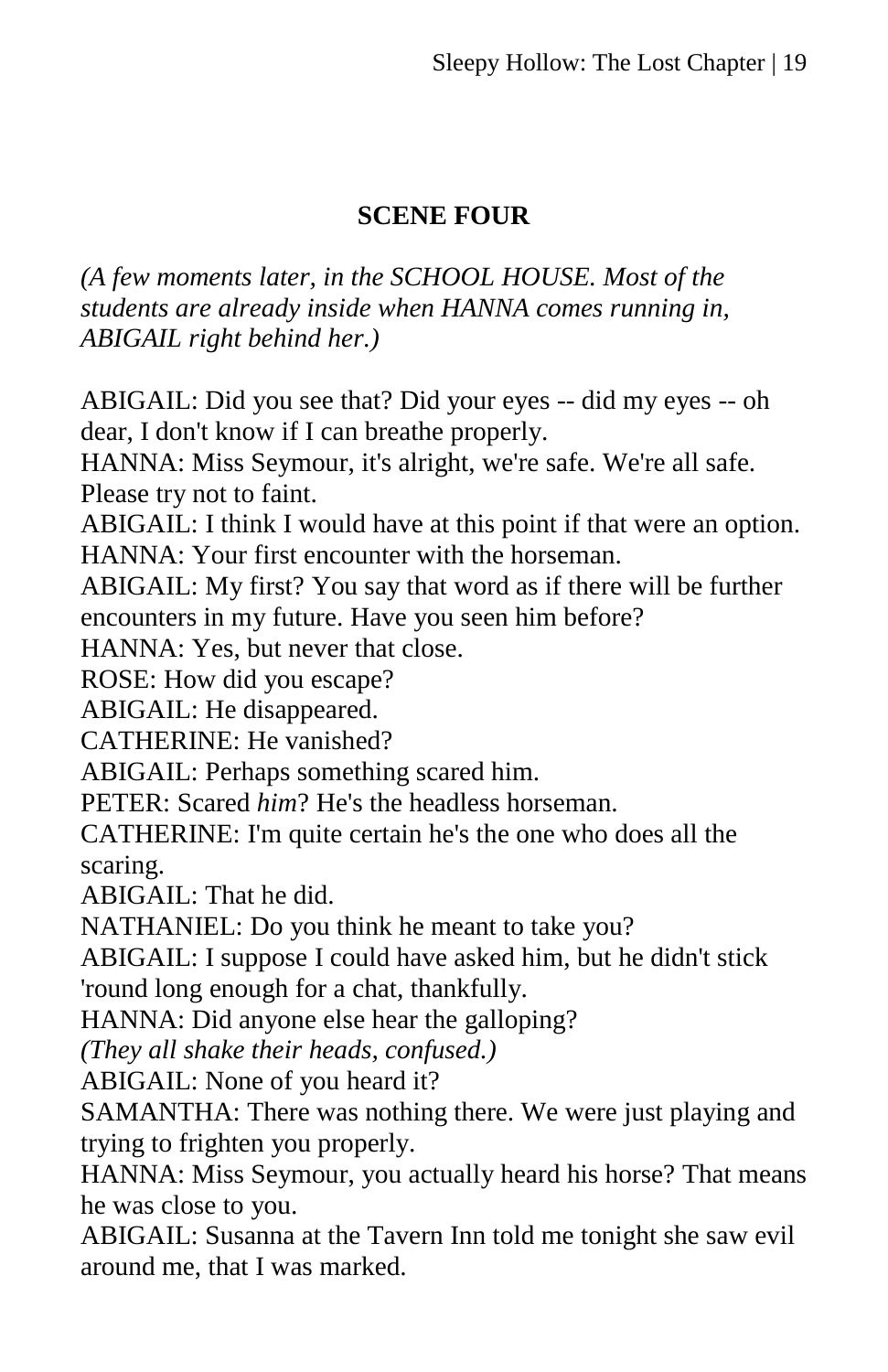# **SCENE FOUR**

*(A few moments later, in the SCHOOL HOUSE. Most of the students are already inside when HANNA comes running in, ABIGAIL right behind her.)*

ABIGAIL: Did you see that? Did your eyes -- did my eyes -- oh dear, I don't know if I can breathe properly. HANNA: Miss Seymour, it's alright, we're safe. We're all safe. Please try not to faint. ABIGAIL: I think I would have at this point if that were an option. HANNA: Your first encounter with the horseman. ABIGAIL: My first? You say that word as if there will be further encounters in my future. Have you seen him before? HANNA: Yes, but never that close. ROSE: How did you escape? ABIGAIL: He disappeared. CATHERINE: He vanished? ABIGAIL: Perhaps something scared him. PETER: Scared *him*? He's the headless horseman. CATHERINE: I'm quite certain he's the one who does all the scaring. ABIGAIL: That he did. NATHANIEL: Do you think he meant to take you? ABIGAIL: I suppose I could have asked him, but he didn't stick 'round long enough for a chat, thankfully. HANNA: Did anyone else hear the galloping? *(They all shake their heads, confused.)* ABIGAIL: None of you heard it? SAMANTHA: There was nothing there. We were just playing and trying to frighten you properly. HANNA: Miss Seymour, you actually heard his horse? That means he was close to you. ABIGAIL: Susanna at the Tavern Inn told me tonight she saw evil

around me, that I was marked.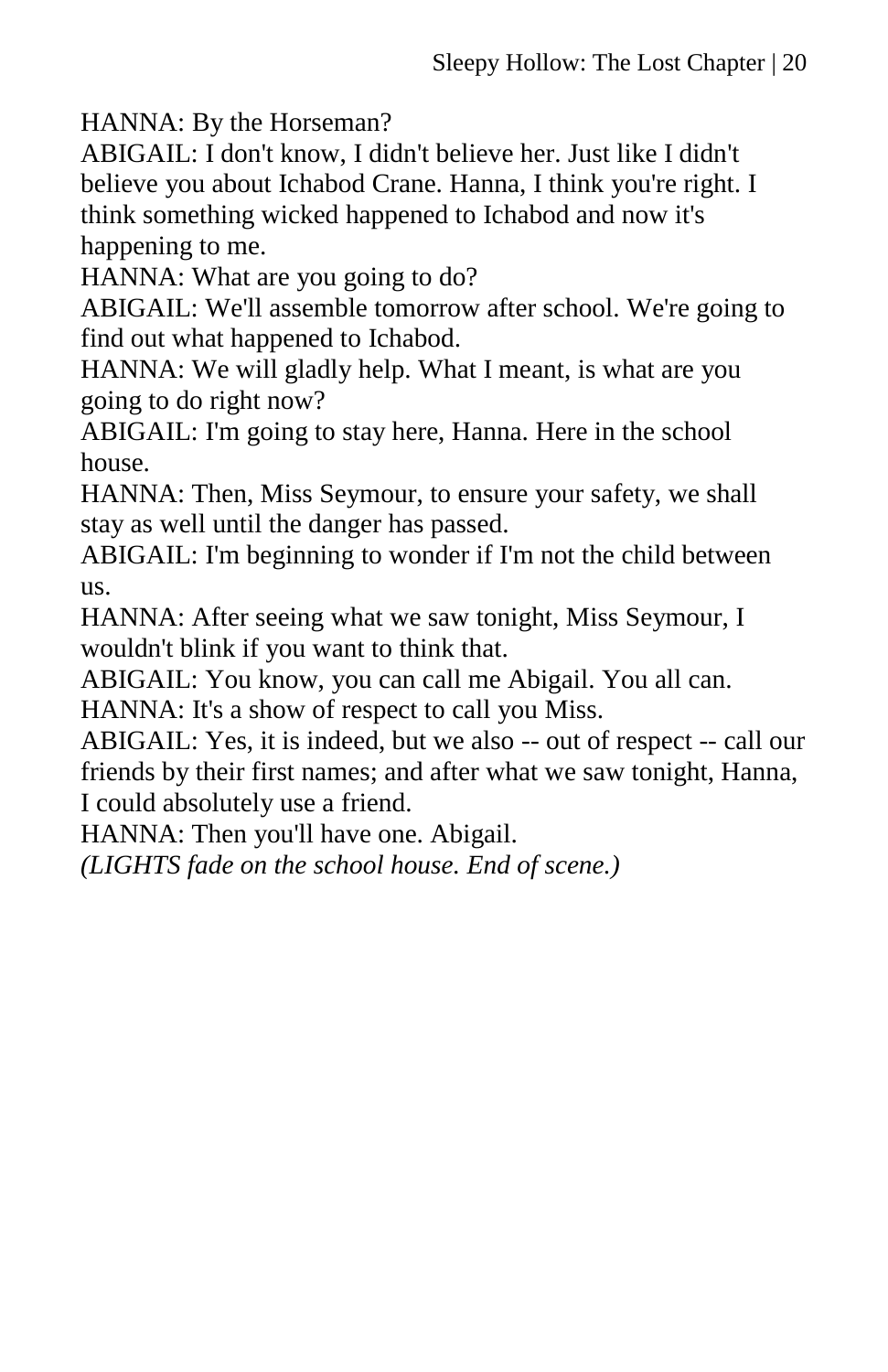HANNA: By the Horseman?

ABIGAIL: I don't know, I didn't believe her. Just like I didn't believe you about Ichabod Crane. Hanna, I think you're right. I think something wicked happened to Ichabod and now it's happening to me.

HANNA: What are you going to do?

ABIGAIL: We'll assemble tomorrow after school. We're going to find out what happened to Ichabod.

HANNA: We will gladly help. What I meant, is what are you going to do right now?

ABIGAIL: I'm going to stay here, Hanna. Here in the school house.

HANNA: Then, Miss Seymour, to ensure your safety, we shall stay as well until the danger has passed.

ABIGAIL: I'm beginning to wonder if I'm not the child between us.

HANNA: After seeing what we saw tonight, Miss Seymour, I wouldn't blink if you want to think that.

ABIGAIL: You know, you can call me Abigail. You all can. HANNA: It's a show of respect to call you Miss.

ABIGAIL: Yes, it is indeed, but we also -- out of respect -- call our friends by their first names; and after what we saw tonight, Hanna, I could absolutely use a friend.

HANNA: Then you'll have one. Abigail.

*(LIGHTS fade on the school house. End of scene.)*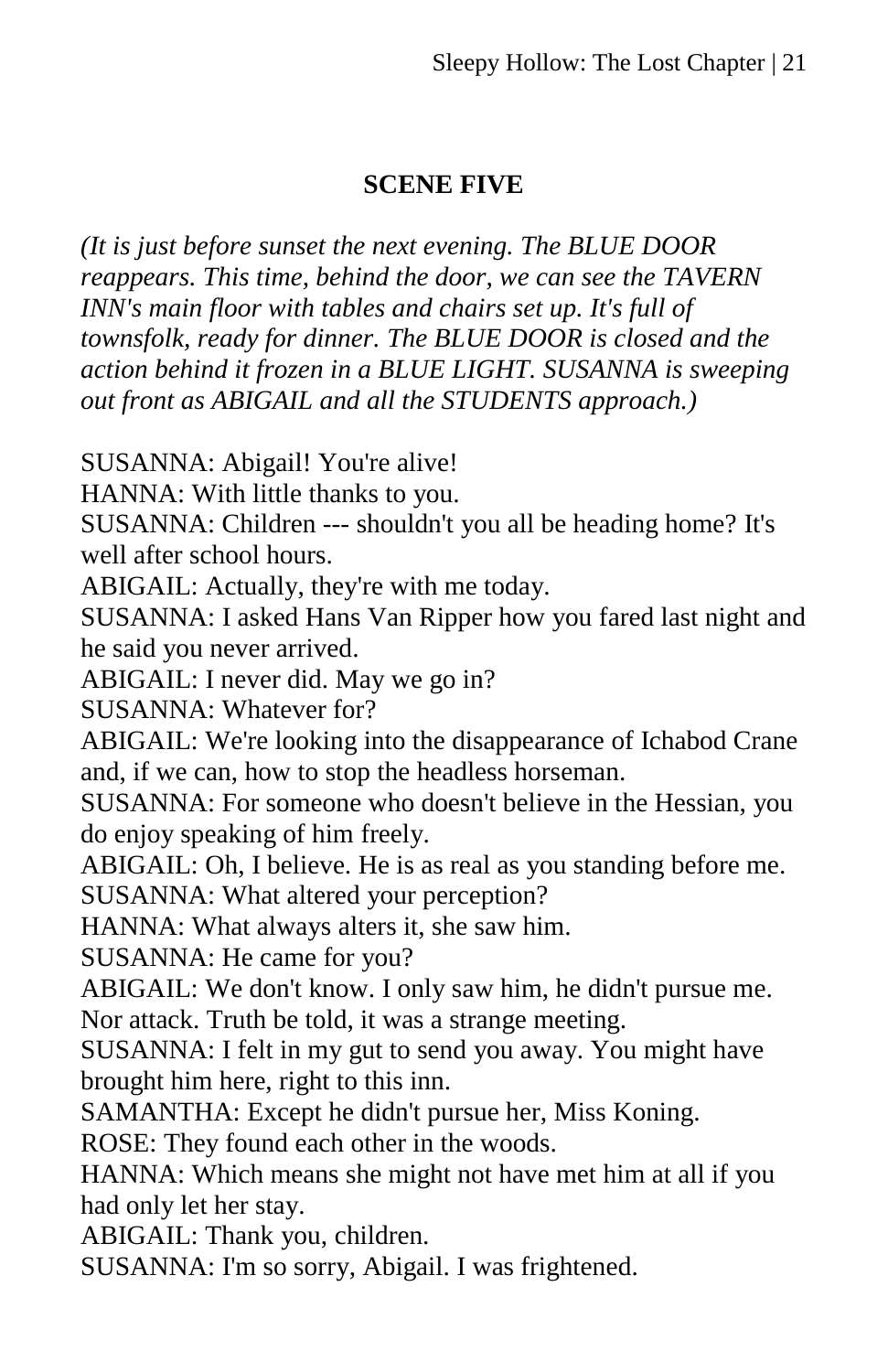# **SCENE FIVE**

*(It is just before sunset the next evening. The BLUE DOOR reappears. This time, behind the door, we can see the TAVERN INN's main floor with tables and chairs set up. It's full of townsfolk, ready for dinner. The BLUE DOOR is closed and the action behind it frozen in a BLUE LIGHT. SUSANNA is sweeping out front as ABIGAIL and all the STUDENTS approach.)*

SUSANNA: Abigail! You're alive!

HANNA: With little thanks to you.

SUSANNA: Children --- shouldn't you all be heading home? It's well after school hours.

ABIGAIL: Actually, they're with me today.

SUSANNA: I asked Hans Van Ripper how you fared last night and he said you never arrived.

ABIGAIL: I never did. May we go in?

SUSANNA: Whatever for?

ABIGAIL: We're looking into the disappearance of Ichabod Crane and, if we can, how to stop the headless horseman.

SUSANNA: For someone who doesn't believe in the Hessian, you do enjoy speaking of him freely.

ABIGAIL: Oh, I believe. He is as real as you standing before me.

SUSANNA: What altered your perception?

HANNA: What always alters it, she saw him.

SUSANNA: He came for you?

ABIGAIL: We don't know. I only saw him, he didn't pursue me. Nor attack. Truth be told, it was a strange meeting.

SUSANNA: I felt in my gut to send you away. You might have brought him here, right to this inn.

SAMANTHA: Except he didn't pursue her, Miss Koning.

ROSE: They found each other in the woods.

HANNA: Which means she might not have met him at all if you had only let her stay.

ABIGAIL: Thank you, children.

SUSANNA: I'm so sorry, Abigail. I was frightened.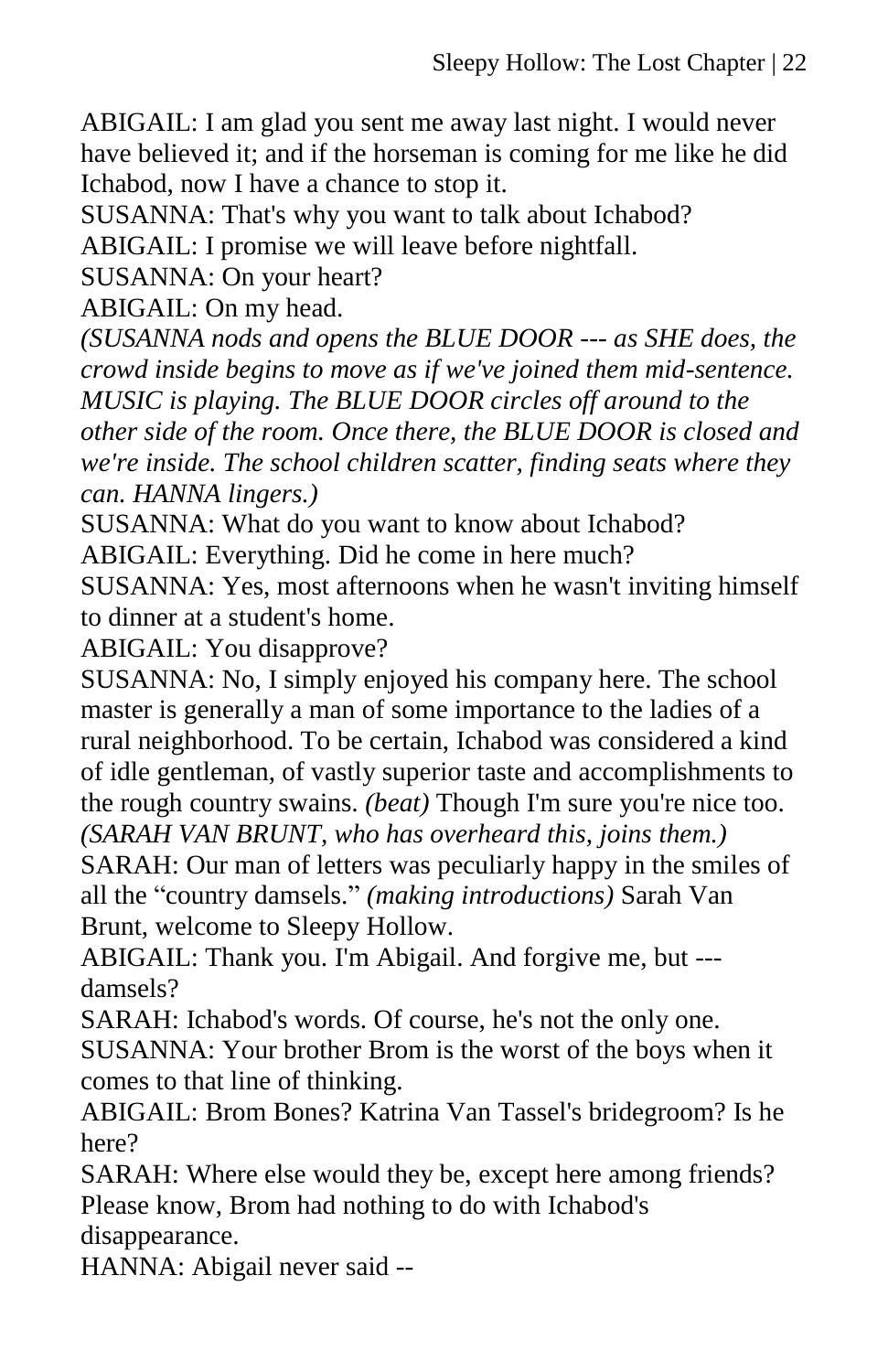ABIGAIL: I am glad you sent me away last night. I would never have believed it; and if the horseman is coming for me like he did Ichabod, now I have a chance to stop it.

SUSANNA: That's why you want to talk about Ichabod?

ABIGAIL: I promise we will leave before nightfall.

SUSANNA: On your heart?

ABIGAIL: On my head.

*(SUSANNA nods and opens the BLUE DOOR --- as SHE does, the crowd inside begins to move as if we've joined them mid-sentence. MUSIC is playing. The BLUE DOOR circles off around to the other side of the room. Once there, the BLUE DOOR is closed and we're inside. The school children scatter, finding seats where they can. HANNA lingers.)* 

SUSANNA: What do you want to know about Ichabod? ABIGAIL: Everything. Did he come in here much?

SUSANNA: Yes, most afternoons when he wasn't inviting himself to dinner at a student's home.

ABIGAIL: You disapprove?

SUSANNA: No, I simply enjoyed his company here. The school master is generally a man of some importance to the ladies of a rural neighborhood. To be certain, Ichabod was considered a kind of idle gentleman, of vastly superior taste and accomplishments to the rough country swains. *(beat)* Though I'm sure you're nice too.

*(SARAH VAN BRUNT, who has overheard this, joins them.)* SARAH: Our man of letters was peculiarly happy in the smiles of

all the "country damsels." *(making introductions)* Sarah Van Brunt, welcome to Sleepy Hollow.

ABIGAIL: Thank you. I'm Abigail. And forgive me, but -- damsels?

SARAH: Ichabod's words. Of course, he's not the only one.

SUSANNA: Your brother Brom is the worst of the boys when it comes to that line of thinking.

ABIGAIL: Brom Bones? Katrina Van Tassel's bridegroom? Is he here?

SARAH: Where else would they be, except here among friends? Please know, Brom had nothing to do with Ichabod's disappearance.

HANNA: Abigail never said --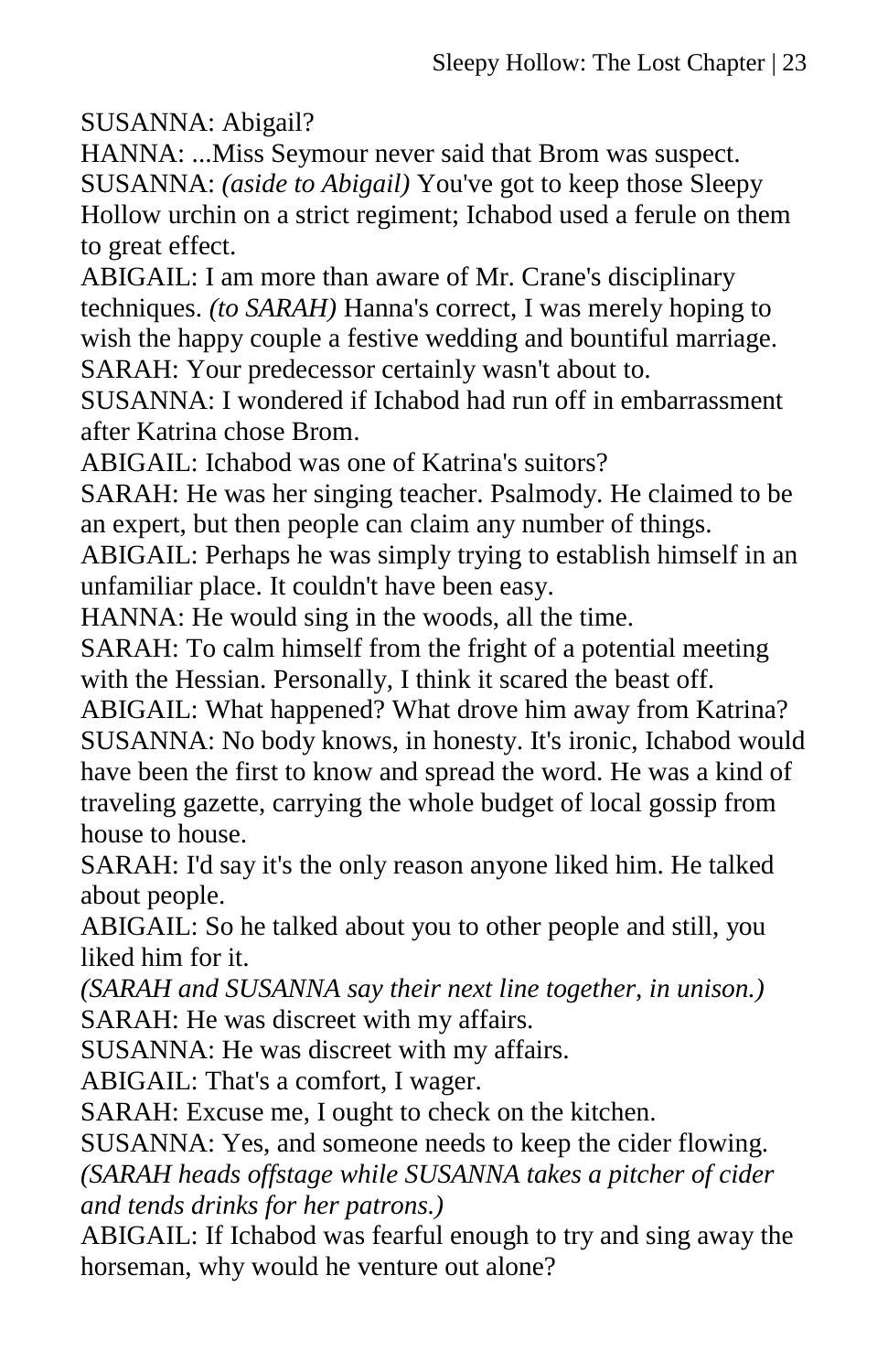SUSANNA: Abigail?

HANNA: ...Miss Seymour never said that Brom was suspect. SUSANNA: *(aside to Abigail)* You've got to keep those Sleepy Hollow urchin on a strict regiment; Ichabod used a ferule on them to great effect.

ABIGAIL: I am more than aware of Mr. Crane's disciplinary techniques. *(to SARAH)* Hanna's correct, I was merely hoping to wish the happy couple a festive wedding and bountiful marriage. SARAH: Your predecessor certainly wasn't about to.

SUSANNA: I wondered if Ichabod had run off in embarrassment after Katrina chose Brom.

ABIGAIL: Ichabod was one of Katrina's suitors?

SARAH: He was her singing teacher. Psalmody. He claimed to be an expert, but then people can claim any number of things.

ABIGAIL: Perhaps he was simply trying to establish himself in an unfamiliar place. It couldn't have been easy.

HANNA: He would sing in the woods, all the time.

SARAH: To calm himself from the fright of a potential meeting with the Hessian. Personally, I think it scared the beast off.

ABIGAIL: What happened? What drove him away from Katrina? SUSANNA: No body knows, in honesty. It's ironic, Ichabod would have been the first to know and spread the word. He was a kind of traveling gazette, carrying the whole budget of local gossip from house to house.

SARAH: I'd say it's the only reason anyone liked him. He talked about people.

ABIGAIL: So he talked about you to other people and still, you liked him for it.

*(SARAH and SUSANNA say their next line together, in unison.)* SARAH: He was discreet with my affairs.

SUSANNA: He was discreet with my affairs.

ABIGAIL: That's a comfort, I wager.

SARAH: Excuse me, I ought to check on the kitchen.

SUSANNA: Yes, and someone needs to keep the cider flowing. *(SARAH heads offstage while SUSANNA takes a pitcher of cider* 

*and tends drinks for her patrons.)*

ABIGAIL: If Ichabod was fearful enough to try and sing away the horseman, why would he venture out alone?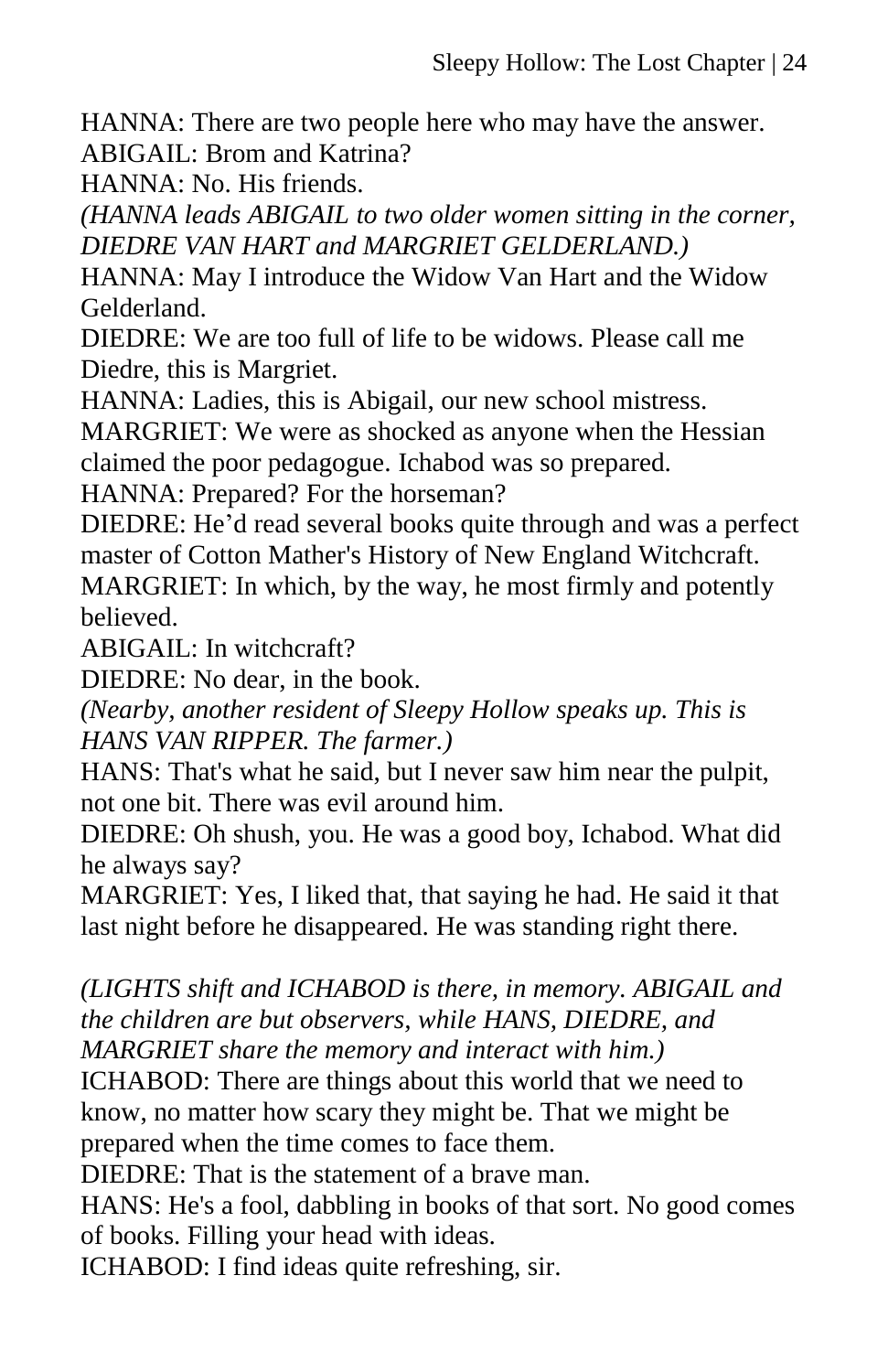HANNA: There are two people here who may have the answer. ABIGAIL: Brom and Katrina?

HANNA: No. His friends.

*(HANNA leads ABIGAIL to two older women sitting in the corner, DIEDRE VAN HART and MARGRIET GELDERLAND.)*

HANNA: May I introduce the Widow Van Hart and the Widow Gelderland.

DIEDRE: We are too full of life to be widows. Please call me Diedre, this is Margriet.

HANNA: Ladies, this is Abigail, our new school mistress.

MARGRIET: We were as shocked as anyone when the Hessian claimed the poor pedagogue. Ichabod was so prepared.

HANNA: Prepared? For the horseman?

DIEDRE: He'd read several books quite through and was a perfect master of Cotton Mather's History of New England Witchcraft. MARGRIET: In which, by the way, he most firmly and potently believed.

ABIGAIL: In witchcraft?

DIEDRE: No dear, in the book.

*(Nearby, another resident of Sleepy Hollow speaks up. This is HANS VAN RIPPER. The farmer.)*

HANS: That's what he said, but I never saw him near the pulpit, not one bit. There was evil around him.

DIEDRE: Oh shush, you. He was a good boy, Ichabod. What did he always say?

MARGRIET: Yes, I liked that, that saying he had. He said it that last night before he disappeared. He was standing right there.

*(LIGHTS shift and ICHABOD is there, in memory. ABIGAIL and the children are but observers, while HANS, DIEDRE, and MARGRIET share the memory and interact with him.)*

ICHABOD: There are things about this world that we need to know, no matter how scary they might be. That we might be prepared when the time comes to face them.

DIEDRE: That is the statement of a brave man.

HANS: He's a fool, dabbling in books of that sort. No good comes of books. Filling your head with ideas.

ICHABOD: I find ideas quite refreshing, sir.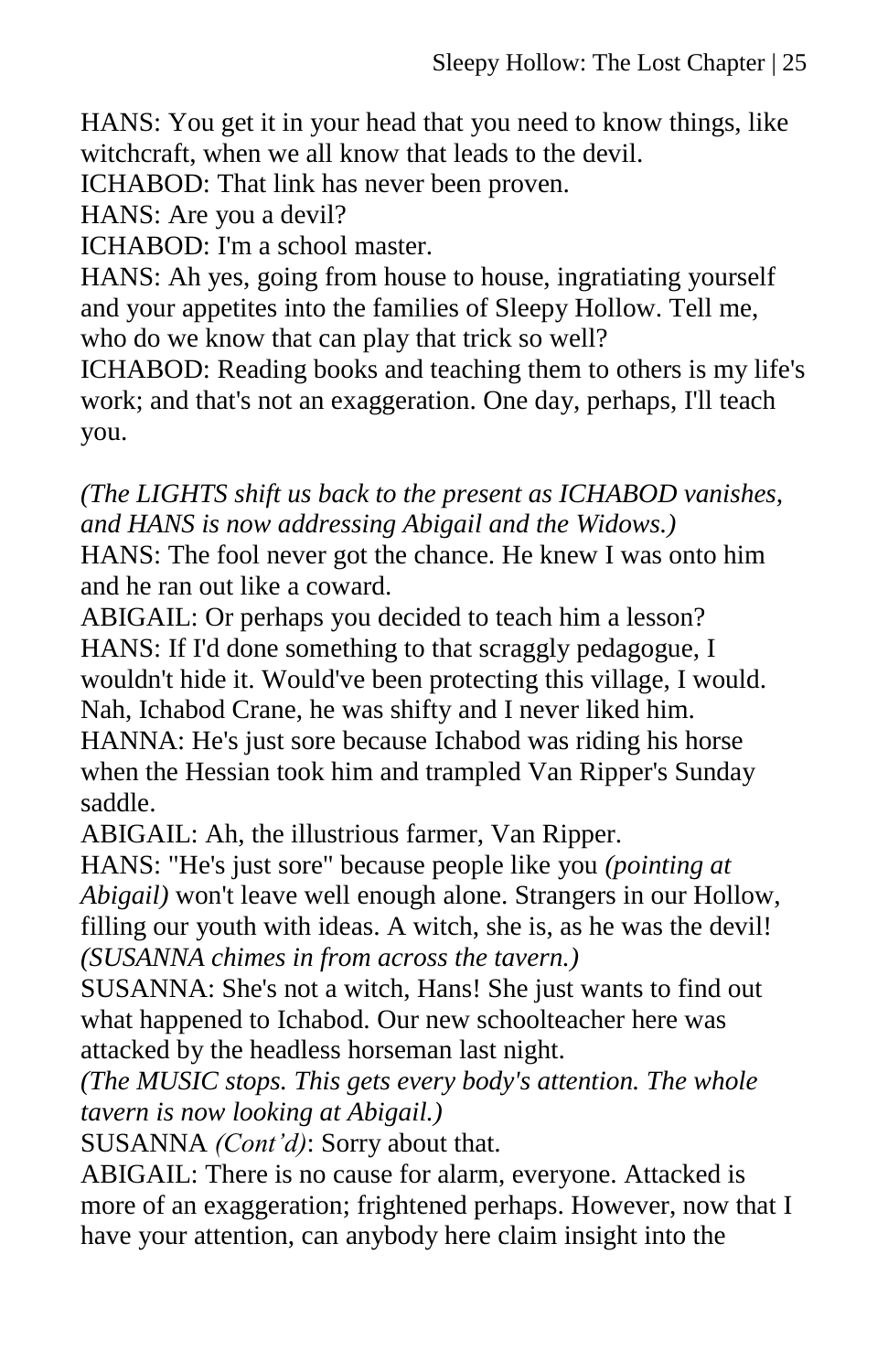HANS: You get it in your head that you need to know things, like witchcraft, when we all know that leads to the devil.

ICHABOD: That link has never been proven.

HANS: Are you a devil?

ICHABOD: I'm a school master.

HANS: Ah yes, going from house to house, ingratiating yourself and your appetites into the families of Sleepy Hollow. Tell me, who do we know that can play that trick so well?

ICHABOD: Reading books and teaching them to others is my life's work; and that's not an exaggeration. One day, perhaps, I'll teach you.

*(The LIGHTS shift us back to the present as ICHABOD vanishes, and HANS is now addressing Abigail and the Widows.)* HANS: The fool never got the chance. He knew I was onto him and he ran out like a coward.

ABIGAIL: Or perhaps you decided to teach him a lesson? HANS: If I'd done something to that scraggly pedagogue, I wouldn't hide it. Would've been protecting this village, I would. Nah, Ichabod Crane, he was shifty and I never liked him. HANNA: He's just sore because Ichabod was riding his horse when the Hessian took him and trampled Van Ripper's Sunday saddle.

ABIGAIL: Ah, the illustrious farmer, Van Ripper.

HANS: "He's just sore" because people like you *(pointing at Abigail)* won't leave well enough alone. Strangers in our Hollow, filling our youth with ideas. A witch, she is, as he was the devil! *(SUSANNA chimes in from across the tavern.)*

SUSANNA: She's not a witch, Hans! She just wants to find out what happened to Ichabod. Our new schoolteacher here was attacked by the headless horseman last night.

*(The MUSIC stops. This gets every body's attention. The whole tavern is now looking at Abigail.)*

SUSANNA *(Cont'd)*: Sorry about that.

ABIGAIL: There is no cause for alarm, everyone. Attacked is more of an exaggeration; frightened perhaps. However, now that I have your attention, can anybody here claim insight into the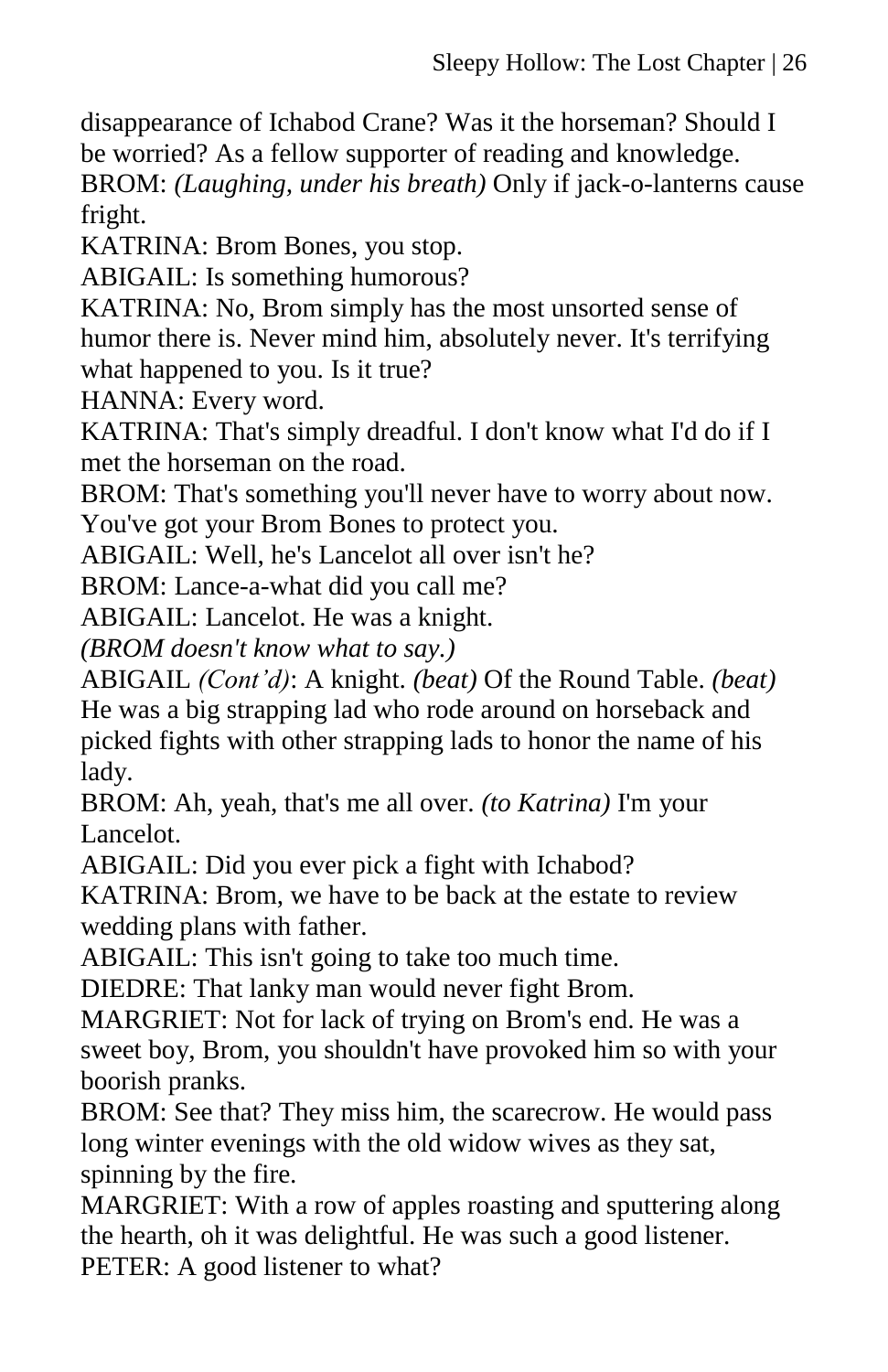disappearance of Ichabod Crane? Was it the horseman? Should I be worried? As a fellow supporter of reading and knowledge.

BROM: *(Laughing, under his breath)* Only if jack-o-lanterns cause fright.

KATRINA: Brom Bones, you stop.

ABIGAIL: Is something humorous?

KATRINA: No, Brom simply has the most unsorted sense of humor there is. Never mind him, absolutely never. It's terrifying what happened to you. Is it true?

HANNA: Every word.

KATRINA: That's simply dreadful. I don't know what I'd do if I met the horseman on the road.

BROM: That's something you'll never have to worry about now.

You've got your Brom Bones to protect you.

ABIGAIL: Well, he's Lancelot all over isn't he?

BROM: Lance-a-what did you call me?

ABIGAIL: Lancelot. He was a knight.

*(BROM doesn't know what to say.)*

ABIGAIL *(Cont'd)*: A knight. *(beat)* Of the Round Table. *(beat)* He was a big strapping lad who rode around on horseback and picked fights with other strapping lads to honor the name of his lady.

BROM: Ah, yeah, that's me all over. *(to Katrina)* I'm your Lancelot.

ABIGAIL: Did you ever pick a fight with Ichabod?

KATRINA: Brom, we have to be back at the estate to review wedding plans with father.

ABIGAIL: This isn't going to take too much time.

DIEDRE: That lanky man would never fight Brom.

MARGRIET: Not for lack of trying on Brom's end. He was a sweet boy, Brom, you shouldn't have provoked him so with your boorish pranks.

BROM: See that? They miss him, the scarecrow. He would pass long winter evenings with the old widow wives as they sat, spinning by the fire.

MARGRIET: With a row of apples roasting and sputtering along the hearth, oh it was delightful. He was such a good listener. PETER: A good listener to what?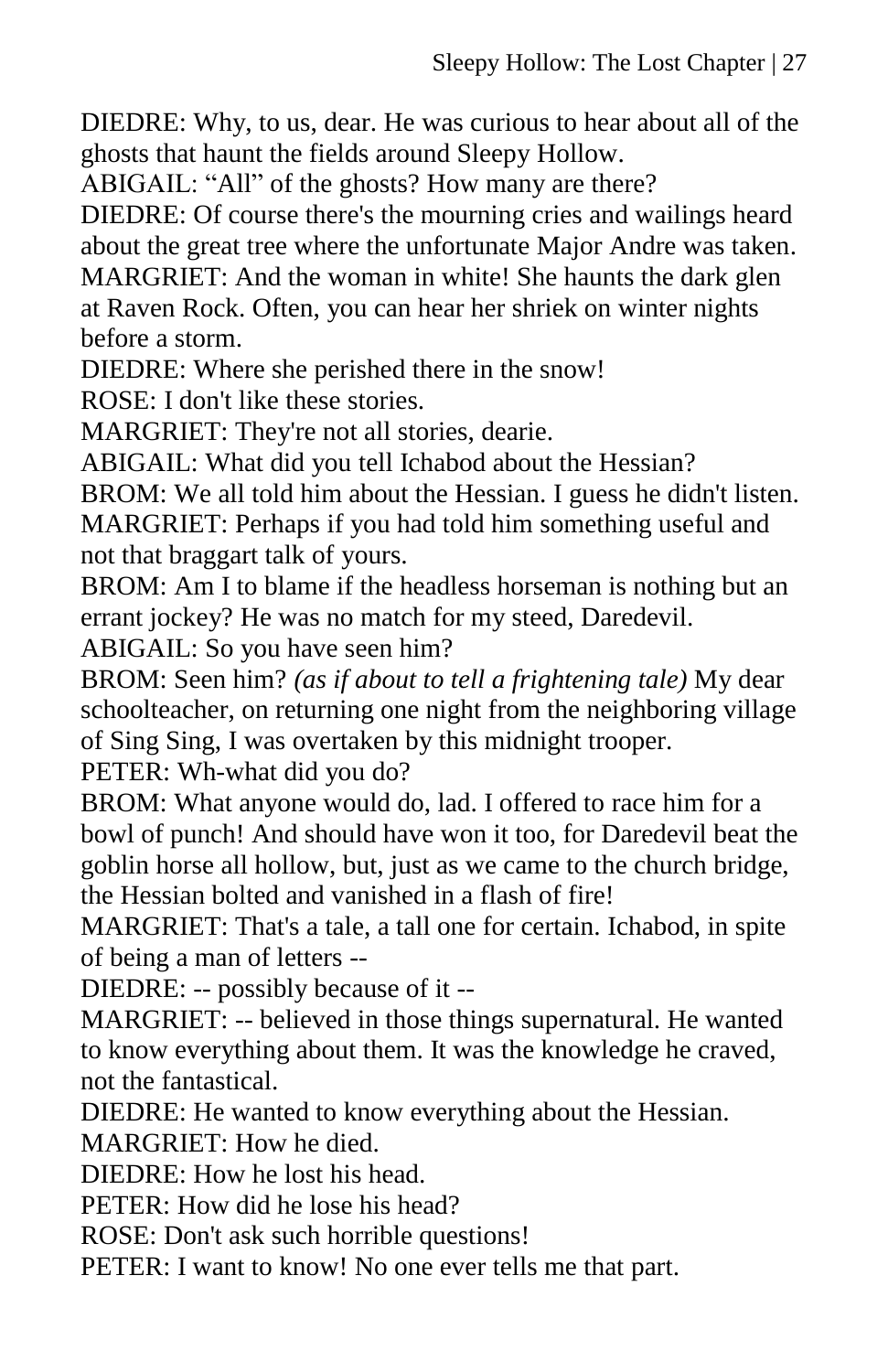DIEDRE: Why, to us, dear. He was curious to hear about all of the ghosts that haunt the fields around Sleepy Hollow.

ABIGAIL: "All" of the ghosts? How many are there?

DIEDRE: Of course there's the mourning cries and wailings heard about the great tree where the unfortunate Major Andre was taken.

MARGRIET: And the woman in white! She haunts the dark glen at Raven Rock. Often, you can hear her shriek on winter nights before a storm.

DIEDRE: Where she perished there in the snow!

ROSE: I don't like these stories.

MARGRIET: They're not all stories, dearie.

ABIGAIL: What did you tell Ichabod about the Hessian?

BROM: We all told him about the Hessian. I guess he didn't listen. MARGRIET: Perhaps if you had told him something useful and not that braggart talk of yours.

BROM: Am I to blame if the headless horseman is nothing but an errant jockey? He was no match for my steed, Daredevil.

ABIGAIL: So you have seen him?

BROM: Seen him? *(as if about to tell a frightening tale)* My dear schoolteacher, on returning one night from the neighboring village of Sing Sing, I was overtaken by this midnight trooper.

PETER: Wh-what did you do?

BROM: What anyone would do, lad. I offered to race him for a bowl of punch! And should have won it too, for Daredevil beat the goblin horse all hollow, but, just as we came to the church bridge, the Hessian bolted and vanished in a flash of fire!

MARGRIET: That's a tale, a tall one for certain. Ichabod, in spite of being a man of letters --

DIEDRE: -- possibly because of it --

MARGRIET: -- believed in those things supernatural. He wanted to know everything about them. It was the knowledge he craved, not the fantastical.

DIEDRE: He wanted to know everything about the Hessian.

MARGRIET: How he died.

DIEDRE: How he lost his head.

PETER: How did he lose his head?

ROSE: Don't ask such horrible questions!

PETER: I want to know! No one ever tells me that part.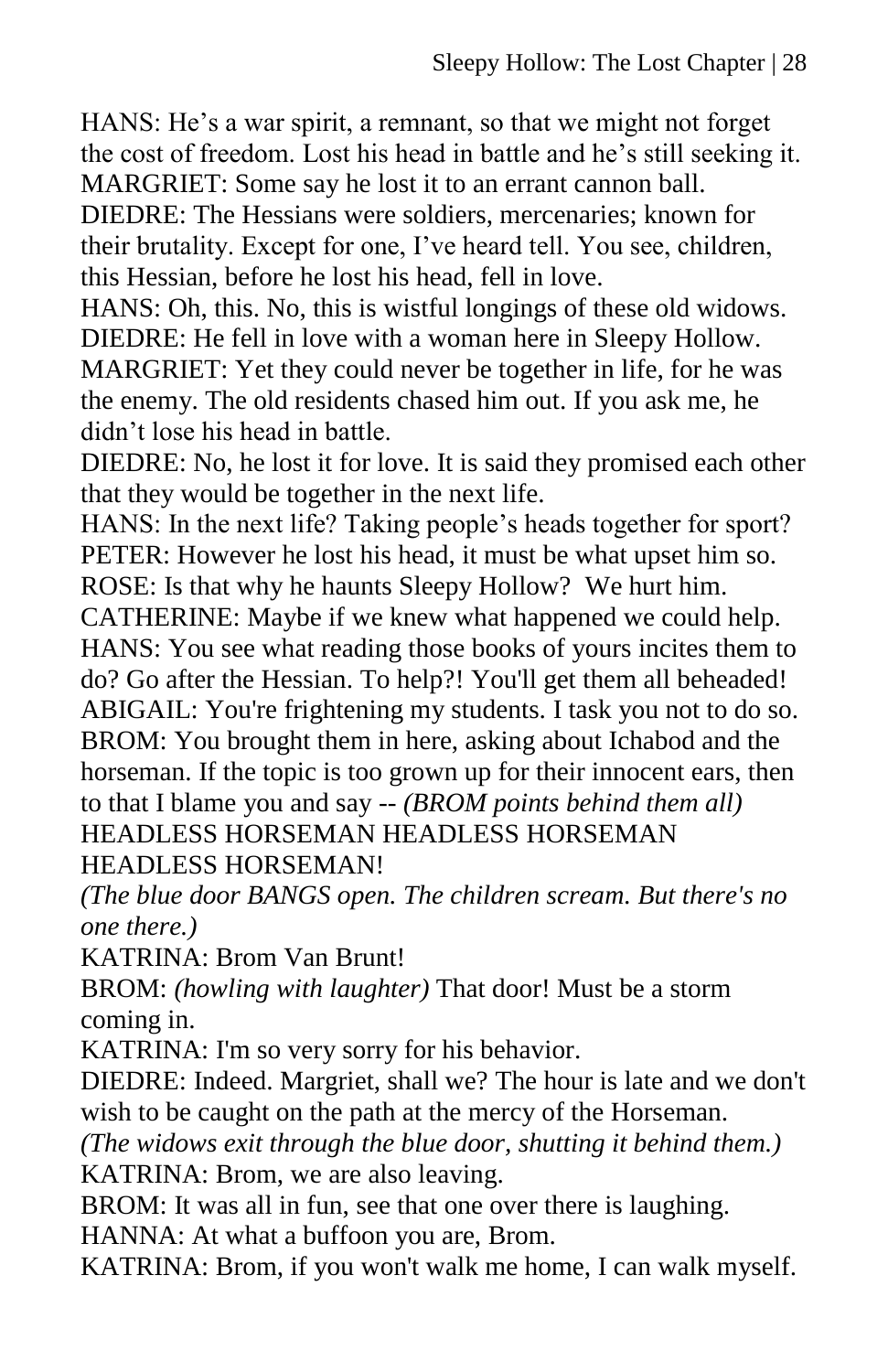HANS: He's a war spirit, a remnant, so that we might not forget the cost of freedom. Lost his head in battle and he's still seeking it. MARGRIET: Some say he lost it to an errant cannon ball. DIEDRE: The Hessians were soldiers, mercenaries; known for their brutality. Except for one, I've heard tell. You see, children,

this Hessian, before he lost his head, fell in love.

HANS: Oh, this. No, this is wistful longings of these old widows. DIEDRE: He fell in love with a woman here in Sleepy Hollow. MARGRIET: Yet they could never be together in life, for he was the enemy. The old residents chased him out. If you ask me, he didn't lose his head in battle.

DIEDRE: No, he lost it for love. It is said they promised each other that they would be together in the next life.

HANS: In the next life? Taking people's heads together for sport? PETER: However he lost his head, it must be what upset him so. ROSE: Is that why he haunts Sleepy Hollow? We hurt him.

CATHERINE: Maybe if we knew what happened we could help. HANS: You see what reading those books of yours incites them to do? Go after the Hessian. To help?! You'll get them all beheaded! ABIGAIL: You're frightening my students. I task you not to do so. BROM: You brought them in here, asking about Ichabod and the horseman. If the topic is too grown up for their innocent ears, then to that I blame you and say -- *(BROM points behind them all)* HEADLESS HORSEMAN HEADLESS HORSEMAN HEADLESS HORSEMAN!

*(The blue door BANGS open. The children scream. But there's no one there.)*

KATRINA: Brom Van Brunt!

BROM: *(howling with laughter)* That door! Must be a storm coming in.

KATRINA: I'm so very sorry for his behavior.

DIEDRE: Indeed. Margriet, shall we? The hour is late and we don't wish to be caught on the path at the mercy of the Horseman.

*(The widows exit through the blue door, shutting it behind them.)* KATRINA: Brom, we are also leaving.

BROM: It was all in fun, see that one over there is laughing. HANNA: At what a buffoon you are, Brom.

KATRINA: Brom, if you won't walk me home, I can walk myself.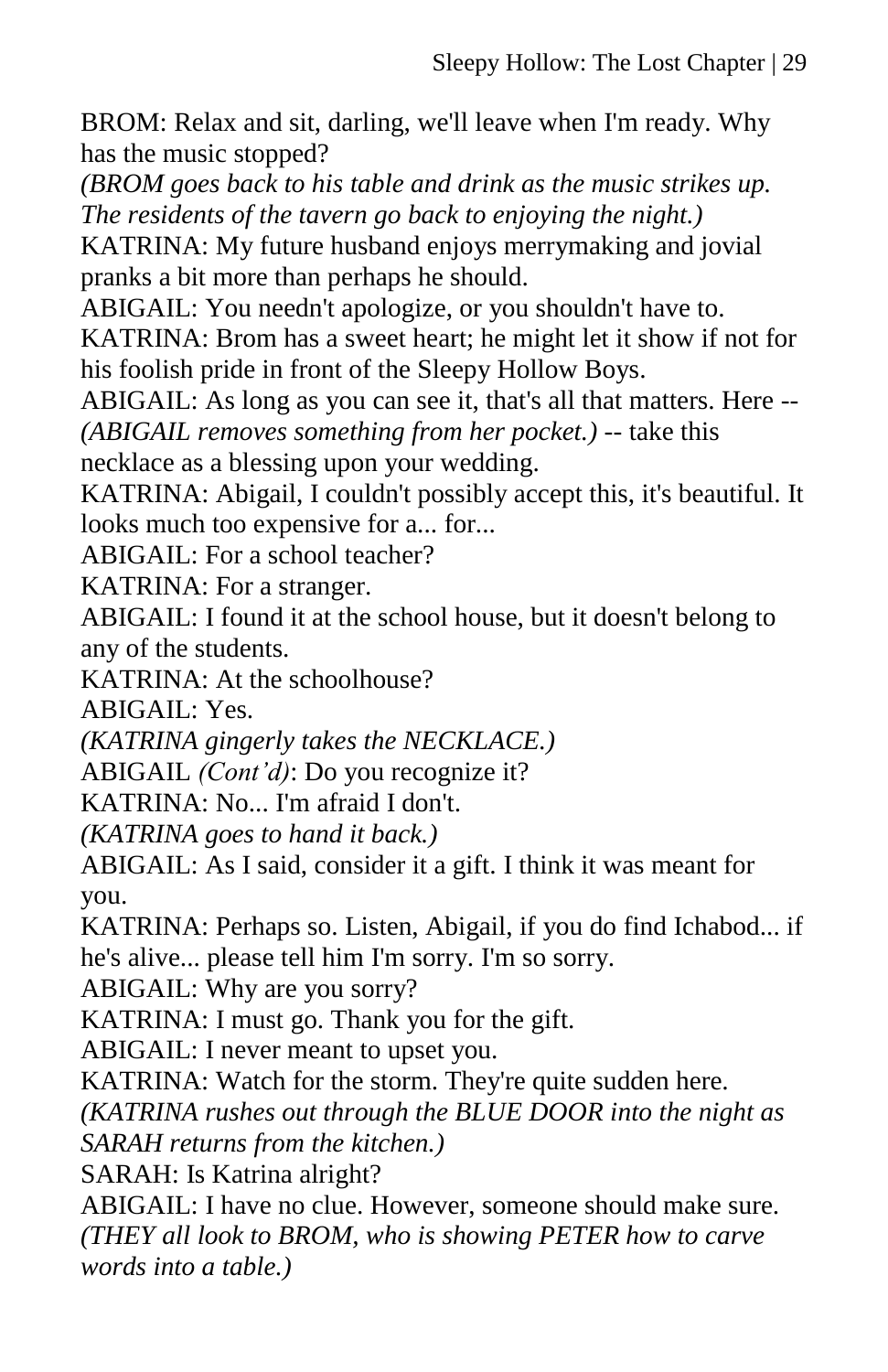BROM: Relax and sit, darling, we'll leave when I'm ready. Why has the music stopped?

*(BROM goes back to his table and drink as the music strikes up. The residents of the tavern go back to enjoying the night.)*

KATRINA: My future husband enjoys merrymaking and jovial pranks a bit more than perhaps he should.

ABIGAIL: You needn't apologize, or you shouldn't have to.

KATRINA: Brom has a sweet heart; he might let it show if not for his foolish pride in front of the Sleepy Hollow Boys.

ABIGAIL: As long as you can see it, that's all that matters. Here -- *(ABIGAIL removes something from her pocket.)* -- take this

necklace as a blessing upon your wedding.

KATRINA: Abigail, I couldn't possibly accept this, it's beautiful. It looks much too expensive for a... for...

ABIGAIL: For a school teacher?

KATRINA: For a stranger.

ABIGAIL: I found it at the school house, but it doesn't belong to any of the students.

KATRINA: At the schoolhouse?

ABIGAIL: Yes.

*(KATRINA gingerly takes the NECKLACE.)*

ABIGAIL *(Cont'd)*: Do you recognize it?

KATRINA: No... I'm afraid I don't.

*(KATRINA goes to hand it back.)*

ABIGAIL: As I said, consider it a gift. I think it was meant for you.

KATRINA: Perhaps so. Listen, Abigail, if you do find Ichabod... if he's alive... please tell him I'm sorry. I'm so sorry.

ABIGAIL: Why are you sorry?

KATRINA: I must go. Thank you for the gift.

ABIGAIL: I never meant to upset you.

KATRINA: Watch for the storm. They're quite sudden here.

*(KATRINA rushes out through the BLUE DOOR into the night as* 

*SARAH returns from the kitchen.)*

SARAH: Is Katrina alright?

ABIGAIL: I have no clue. However, someone should make sure. *(THEY all look to BROM, who is showing PETER how to carve words into a table.)*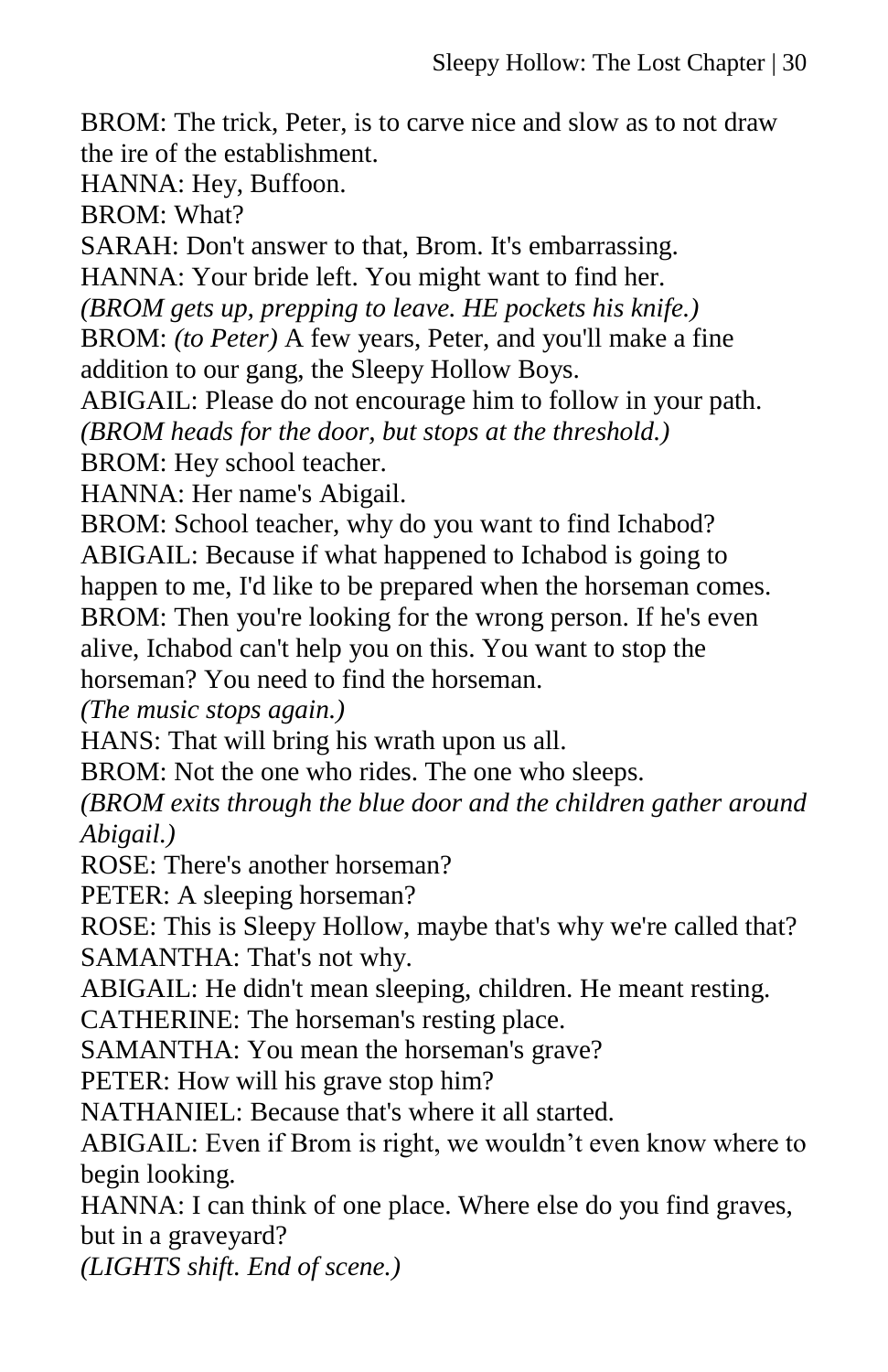BROM: The trick, Peter, is to carve nice and slow as to not draw the ire of the establishment.

HANNA: Hey, Buffoon.

BROM: What?

SARAH: Don't answer to that, Brom. It's embarrassing.

HANNA: Your bride left. You might want to find her.

*(BROM gets up, prepping to leave. HE pockets his knife.)*

BROM: *(to Peter)* A few years, Peter, and you'll make a fine addition to our gang, the Sleepy Hollow Boys.

ABIGAIL: Please do not encourage him to follow in your path.

*(BROM heads for the door, but stops at the threshold.)*

BROM: Hey school teacher.

HANNA: Her name's Abigail.

BROM: School teacher, why do you want to find Ichabod?

ABIGAIL: Because if what happened to Ichabod is going to

happen to me, I'd like to be prepared when the horseman comes.

BROM: Then you're looking for the wrong person. If he's even

alive, Ichabod can't help you on this. You want to stop the

horseman? You need to find the horseman.

*(The music stops again.)*

HANS: That will bring his wrath upon us all.

BROM: Not the one who rides. The one who sleeps.

*(BROM exits through the blue door and the children gather around Abigail.)*

ROSE: There's another horseman?

PETER: A sleeping horseman?

ROSE: This is Sleepy Hollow, maybe that's why we're called that? SAMANTHA: That's not why.

ABIGAIL: He didn't mean sleeping, children. He meant resting.

CATHERINE: The horseman's resting place.

SAMANTHA: You mean the horseman's grave?

PETER: How will his grave stop him?

NATHANIEL: Because that's where it all started.

ABIGAIL: Even if Brom is right, we wouldn't even know where to begin looking.

HANNA: I can think of one place. Where else do you find graves, but in a graveyard?

*(LIGHTS shift. End of scene.)*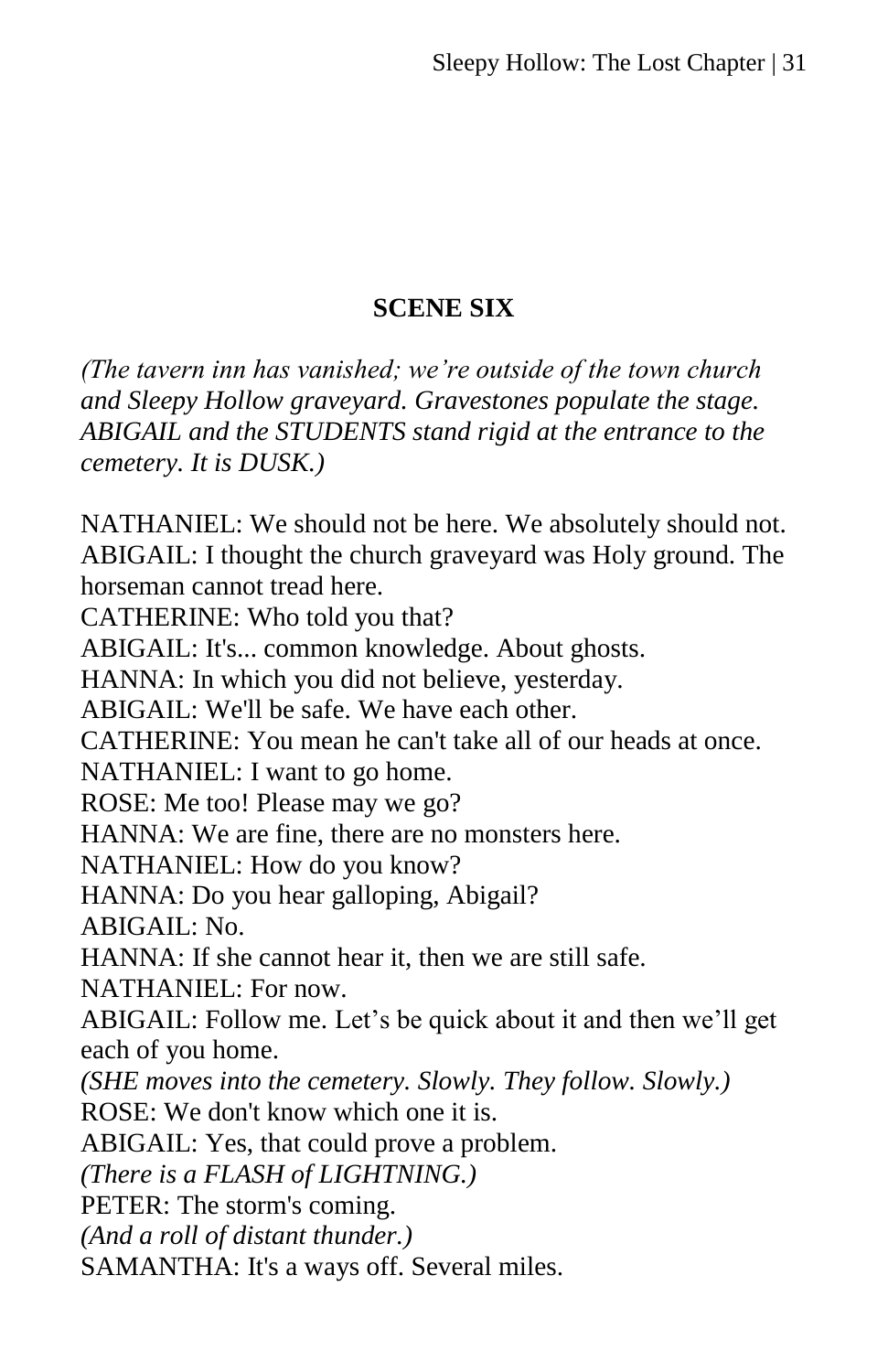# **SCENE SIX**

*(The tavern inn has vanished; we're outside of the town church and Sleepy Hollow graveyard. Gravestones populate the stage. ABIGAIL and the STUDENTS stand rigid at the entrance to the cemetery. It is DUSK.)*

NATHANIEL: We should not be here. We absolutely should not. ABIGAIL: I thought the church graveyard was Holy ground. The horseman cannot tread here. CATHERINE: Who told you that? ABIGAIL: It's... common knowledge. About ghosts. HANNA: In which you did not believe, yesterday.

ABIGAIL: We'll be safe. We have each other.

CATHERINE: You mean he can't take all of our heads at once.

NATHANIEL: I want to go home.

ROSE: Me too! Please may we go?

HANNA: We are fine, there are no monsters here.

NATHANIEL: How do you know?

HANNA: Do you hear galloping, Abigail?

ABIGAIL: No.

HANNA: If she cannot hear it, then we are still safe.

NATHANIEL: For now.

ABIGAIL: Follow me. Let's be quick about it and then we'll get each of you home.

*(SHE moves into the cemetery. Slowly. They follow. Slowly.)*

ROSE: We don't know which one it is.

ABIGAIL: Yes, that could prove a problem.

*(There is a FLASH of LIGHTNING.)*

PETER: The storm's coming.

*(And a roll of distant thunder.)*

SAMANTHA: It's a ways off. Several miles.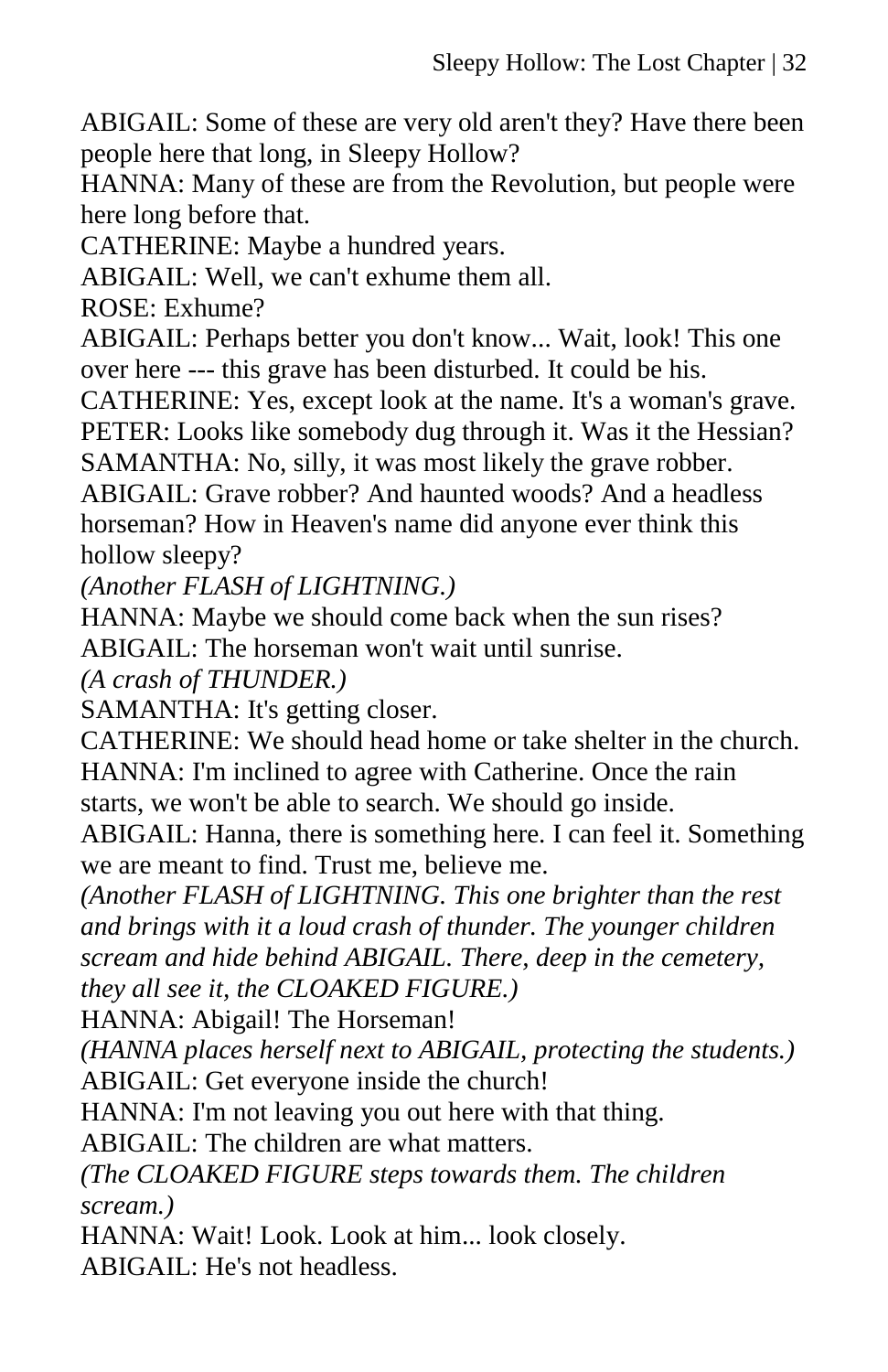ABIGAIL: Some of these are very old aren't they? Have there been people here that long, in Sleepy Hollow?

HANNA: Many of these are from the Revolution, but people were here long before that.

CATHERINE: Maybe a hundred years.

ABIGAIL: Well, we can't exhume them all.

ROSE: Exhume?

ABIGAIL: Perhaps better you don't know... Wait, look! This one over here --- this grave has been disturbed. It could be his.

CATHERINE: Yes, except look at the name. It's a woman's grave. PETER: Looks like somebody dug through it. Was it the Hessian? SAMANTHA: No, silly, it was most likely the grave robber.

ABIGAIL: Grave robber? And haunted woods? And a headless horseman? How in Heaven's name did anyone ever think this hollow sleepy?

*(Another FLASH of LIGHTNING.)*

HANNA: Maybe we should come back when the sun rises? ABIGAIL: The horseman won't wait until sunrise.

*(A crash of THUNDER.)* 

SAMANTHA: It's getting closer.

CATHERINE: We should head home or take shelter in the church. HANNA: I'm inclined to agree with Catherine. Once the rain starts, we won't be able to search. We should go inside.

ABIGAIL: Hanna, there is something here. I can feel it. Something we are meant to find. Trust me, believe me.

*(Another FLASH of LIGHTNING. This one brighter than the rest and brings with it a loud crash of thunder. The younger children scream and hide behind ABIGAIL. There, deep in the cemetery, they all see it, the CLOAKED FIGURE.)*

HANNA: Abigail! The Horseman!

*(HANNA places herself next to ABIGAIL, protecting the students.)* ABIGAIL: Get everyone inside the church!

HANNA: I'm not leaving you out here with that thing.

ABIGAIL: The children are what matters.

*(The CLOAKED FIGURE steps towards them. The children scream.)*

HANNA: Wait! Look. Look at him... look closely.

ABIGAIL: He's not headless.